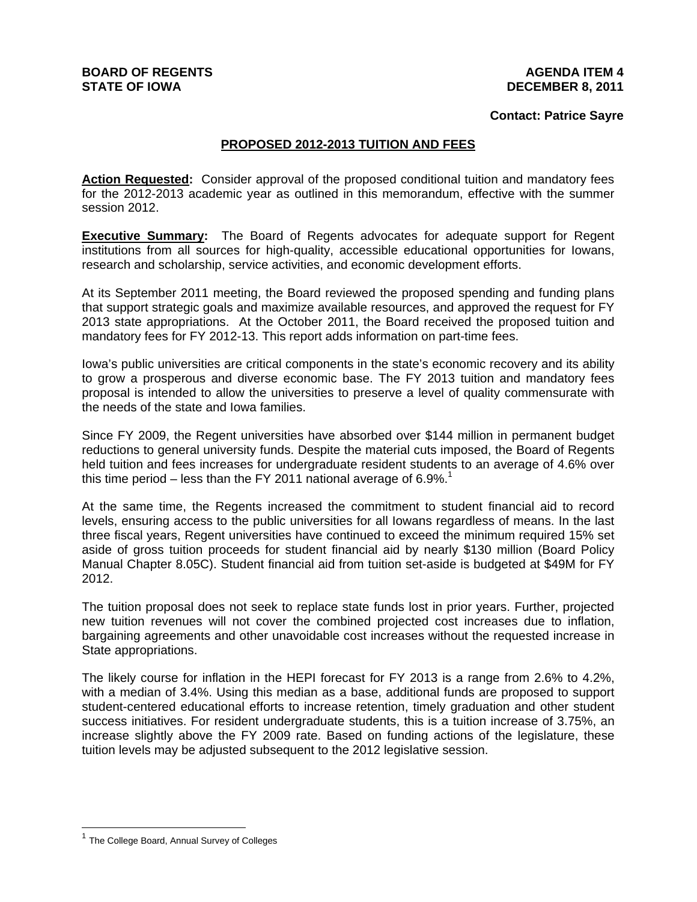# **BOARD OF REGENTS STATE OF IOWA**

# **AGENDA ITEM 4 DECEMBER 8, 2011**

# **Contact: Patrice Sayre**

# **PROPOSED 2012-2013 TUITION AND FEES**

**Action Requested:** Consider approval of the proposed conditional tuition and mandatory fees for the 2012-2013 academic year as outlined in this memorandum, effective with the summer session 2012.

**Executive Summary:** The Board of Regents advocates for adequate support for Regent institutions from all sources for high-quality, accessible educational opportunities for Iowans, research and scholarship, service activities, and economic development efforts.

At its September 2011 meeting, the Board reviewed the proposed spending and funding plans that support strategic goals and maximize available resources, and approved the request for FY 2013 state appropriations. At the October 2011, the Board received the proposed tuition and mandatory fees for FY 2012-13. This report adds information on part-time fees.

Iowa's public universities are critical components in the state's economic recovery and its ability to grow a prosperous and diverse economic base. The FY 2013 tuition and mandatory fees proposal is intended to allow the universities to preserve a level of quality commensurate with the needs of the state and Iowa families.

Since FY 2009, the Regent universities have absorbed over \$144 million in permanent budget reductions to general university funds. Despite the material cuts imposed, the Board of Regents held tuition and fees increases for undergraduate resident students to an average of 4.6% over this time period – less than the FY 2011 national average of 6.9%.<sup>1</sup>

At the same time, the Regents increased the commitment to student financial aid to record levels, ensuring access to the public universities for all Iowans regardless of means. In the last three fiscal years, Regent universities have continued to exceed the minimum required 15% set aside of gross tuition proceeds for student financial aid by nearly \$130 million (Board Policy Manual Chapter 8.05C). Student financial aid from tuition set-aside is budgeted at \$49M for FY 2012.

The tuition proposal does not seek to replace state funds lost in prior years. Further, projected new tuition revenues will not cover the combined projected cost increases due to inflation, bargaining agreements and other unavoidable cost increases without the requested increase in State appropriations.

The likely course for inflation in the HEPI forecast for FY 2013 is a range from 2.6% to 4.2%, with a median of 3.4%. Using this median as a base, additional funds are proposed to support student-centered educational efforts to increase retention, timely graduation and other student success initiatives. For resident undergraduate students, this is a tuition increase of 3.75%, an increase slightly above the FY 2009 rate. Based on funding actions of the legislature, these tuition levels may be adjusted subsequent to the 2012 legislative session.

<sup>&</sup>lt;sup>1</sup> The College Board, Annual Survey of Colleges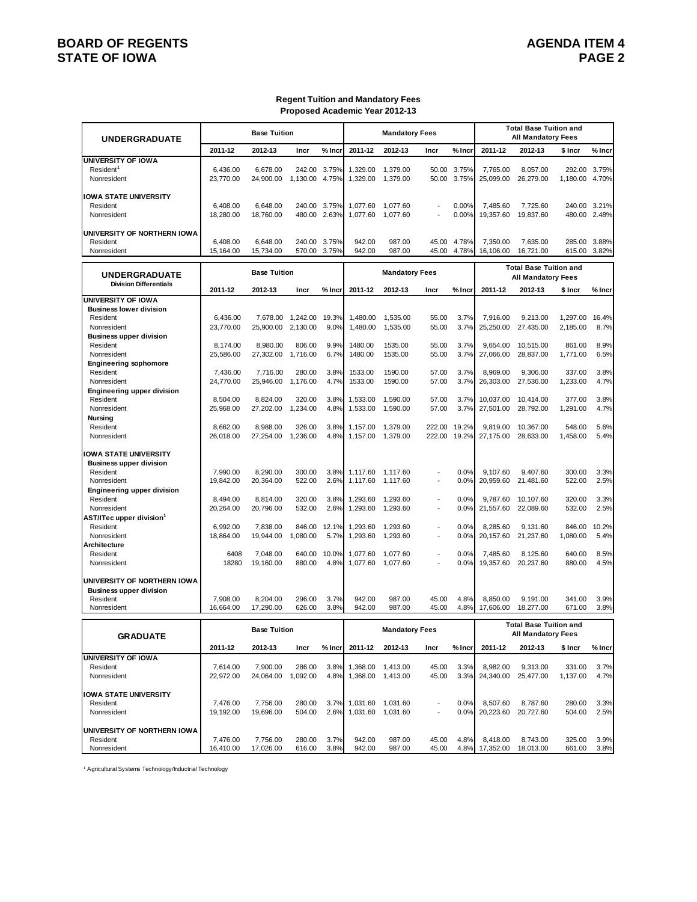# **BOARD OF REGENTS AGENDA ITEM 4 STATE OF IOWA**

#### **Regent Tuition and Mandatory Fees Proposed Academic Year 2012-13**

| <b>UNDERGRADUATE</b>                       |                       | <b>Base Tuition</b>   |                          |              |                      | <b>Mandatory Fees</b> |                          |                      |                       | <b>Total Base Tuition and</b><br><b>All Mandatory Fees</b> |                    |                |
|--------------------------------------------|-----------------------|-----------------------|--------------------------|--------------|----------------------|-----------------------|--------------------------|----------------------|-----------------------|------------------------------------------------------------|--------------------|----------------|
|                                            | 2011-12               | 2012-13               | Incr                     | % Incr       | 2011-12              | 2012-13               | Incr                     | % Incr               | 2011-12               | 2012-13                                                    | \$ Incr            | % Incr         |
| UNIVERSITY OF IOWA                         |                       |                       |                          |              |                      |                       |                          |                      |                       |                                                            |                    |                |
| Resident <sup>1</sup><br>Nonresident       | 6,436.00<br>23,770.00 | 6.678.00<br>24,900.00 | 242.00<br>1,130.00 4.75% | 3.75%        | 1,329.00<br>1,329.00 | 1,379.00<br>1,379.00  | 50.00                    | 50.00 3.75%<br>3.75% | 7,765.00<br>25,099.00 | 8,057.00<br>26,279.00                                      | 292.00<br>1,180.00 | 3.75%<br>4.70% |
| <b>IOWA STATE UNIVERSITY</b>               |                       |                       |                          |              |                      |                       |                          |                      |                       |                                                            |                    |                |
| Resident                                   | 6,408.00              | 6,648.00              |                          | 240.00 3.75% | 1,077.60             | 1,077.60              |                          | 0.00%                | 7.485.60              | 7,725.60                                                   |                    | 240.00 3.21%   |
| Nonresident                                | 18,280.00             | 18,760.00             |                          | 480.00 2.63% | 1,077.60             | 1,077.60              |                          | 0.00%                | 19,357.60             | 19,837.60                                                  |                    | 480.00 2.48%   |
| UNIVERSITY OF NORTHERN IOWA                |                       |                       |                          |              |                      |                       |                          |                      |                       |                                                            |                    |                |
| Resident                                   | 6,408.00              | 6,648.00              |                          | 240.00 3.75% | 942.00               | 987.00                | 45.00                    | 4.78%                | 7,350.00              | 7,635.00                                                   | 285.00             | 3.88%          |
| Nonresident                                | 15,164.00             | 15,734.00             | 570.00 3.75%             |              | 942.00               | 987.00                | 45.00                    | 4.78%                | 16,106.00             | 16,721.00                                                  | 615.00             | 3.82%          |
| <b>UNDERGRADUATE</b>                       |                       | <b>Base Tuition</b>   |                          |              |                      | <b>Mandatory Fees</b> |                          |                      |                       | <b>Total Base Tuition and</b><br><b>All Mandatory Fees</b> |                    |                |
| <b>Division Differentials</b>              | 2011-12               | 2012-13               | Incr                     | % Incr       | 2011-12              | 2012-13               | Incr                     | % Incr               | 2011-12               | 2012-13                                                    | \$ Incr            | % Incr         |
| <b>UNIVERSITY OF IOWA</b>                  |                       |                       |                          |              |                      |                       |                          |                      |                       |                                                            |                    |                |
| <b>Business lower division</b><br>Resident | 6,436.00              | 7,678.00              | 1,242.00                 | 19.3%        | 1,480.00             | 1,535.00              | 55.00                    | 3.7%                 | 7,916.00              | 9,213.00                                                   | 1,297.00           | 16.4%          |
| Nonresident                                | 23,770.00             | 25,900.00 2,130.00    |                          | 9.0%         | 1,480.00             | 1,535.00              | 55.00                    | 3.7%                 | 25,250.00             | 27,435.00                                                  | 2,185.00           | 8.7%           |
| <b>Business upper division</b>             |                       |                       |                          |              |                      |                       |                          |                      |                       |                                                            |                    |                |
| Resident                                   | 8,174.00              | 8,980.00              | 806.00                   | 9.9%         | 1480.00              | 1535.00               | 55.00                    | 3.7%                 | 9,654.00              | 10,515.00                                                  | 861.00             | 8.9%           |
| Nonresident                                | 25,586.00             | 27,302.00             | 1,716.00                 | 6.7%         | 1480.00              | 1535.00               | 55.00                    | 3.7%                 | 27,066.00             | 28,837.00                                                  | 1.771.00           | 6.5%           |
| <b>Engineering sophomore</b>               |                       |                       |                          |              |                      |                       |                          |                      |                       |                                                            |                    |                |
| Resident                                   | 7,436.00              | 7,716.00              | 280.00                   | 3.8%         | 1533.00              | 1590.00               | 57.00                    | 3.7%                 | 8.969.00              | 9,306.00                                                   | 337.00             | 3.8%           |
| Nonresident                                | 24,770.00             | 25,946.00 1,176.00    |                          | 4.7%         | 1533.00              | 1590.00               | 57.00                    | 3.7%                 | 26,303.00             | 27,536.00                                                  | 1,233.00           | 4.7%           |
| Engineering upper division<br>Resident     | 8,504.00              | 8,824.00              | 320.00                   | 3.8%         | 1.533.00             | 1,590.00              | 57.00                    | 3.7%                 | 10,037.00             | 10,414.00                                                  | 377.00             | 3.8%           |
| Nonresident                                | 25,968.00             | 27,202.00             | 1,234.00                 | 4.8%         | 1,533.00             | 1,590.00              | 57.00                    | 3.7%                 | 27,501.00             | 28,792.00                                                  | 1,291.00           | 4.7%           |
| <b>Nursina</b>                             |                       |                       |                          |              |                      |                       |                          |                      |                       |                                                            |                    |                |
| Resident                                   | 8,662.00              | 8,988.00              | 326.00                   | 3.8%         | 1,157.00             | 1,379.00              | 222.00                   | 19.2%                | 9,819.00              | 10,367.00                                                  | 548.00             | 5.6%           |
| Nonresident                                | 26,018.00             | 27,254.00             | 1,236.00                 | 4.8%         | 1,157.00             | 1.379.00              | 222.00                   | 19.2%                | 27,175.00             | 28,633.00                                                  | 1.458.00           | 5.4%           |
|                                            |                       |                       |                          |              |                      |                       |                          |                      |                       |                                                            |                    |                |
| IOWA STATE UNIVERSITY                      |                       |                       |                          |              |                      |                       |                          |                      |                       |                                                            |                    |                |
| <b>Business upper division</b><br>Resident | 7,990.00              | 8,290.00              | 300.00                   | 3.8%         | 1,117.60             | 1,117.60              | $\overline{a}$           | 0.0%                 | 9,107.60              | 9,407.60                                                   | 300.00             | 3.3%           |
| Nonresident                                | 19,842.00             | 20,364.00             | 522.00                   | 2.6%         | 1,117.60             | 1,117.60              | $\overline{\phantom{a}}$ | 0.0%                 | 20,959.60             | 21,481.60                                                  | 522.00             | 2.5%           |
| Engineering upper division                 |                       |                       |                          |              |                      |                       |                          |                      |                       |                                                            |                    |                |
| Resident                                   | 8,494.00              | 8,814.00              | 320.00                   | 3.8%         | 1,293.60             | 1,293.60              | $\overline{a}$           | 0.0%                 | 9,787.60              | 10,107.60                                                  | 320.00             | 3.3%           |
| Nonresident                                | 20,264.00             | 20,796.00             | 532.00                   | 2.6%         | 1,293.60             | 1,293.60              | $\overline{\phantom{a}}$ | 0.0%                 | 21,557.60             | 22,089.60                                                  | 532.00             | 2.5%           |
| AST/ITec upper division <sup>1</sup>       |                       |                       |                          |              |                      |                       |                          |                      |                       |                                                            |                    |                |
| Resident                                   | 6,992.00              | 7,838.00              | 846.00                   | 12.1%        | 1,293.60             | 1,293.60              | $\overline{a}$           | 0.0%                 | 8,285.60              | 9,131.60                                                   | 846.00             | 10.2%          |
| Nonresident                                | 18,864.00             | 19,944.00             | 1,080.00                 | 5.7%         | 1,293.60             | 1,293.60              | $\overline{\phantom{a}}$ | 0.0%                 | 20,157.60             | 21,237.60                                                  | 1,080.00           | 5.4%           |
| Architecture<br>Resident                   | 6408                  | 7,048.00              | 640.00                   | 10.0%        |                      |                       | $\overline{a}$           | 0.0%                 | 7,485.60              |                                                            | 640.00             | 8.5%           |
| Nonresident                                | 18280                 | 19,160.00             | 880.00                   | 4.8%         | 1,077.60<br>1,077.60 | 1,077.60<br>1,077.60  |                          | 0.0%                 | 19,357.60             | 8,125.60<br>20,237.60                                      | 880.00             | 4.5%           |
|                                            |                       |                       |                          |              |                      |                       |                          |                      |                       |                                                            |                    |                |
| UNIVERSITY OF NORTHERN IOWA                |                       |                       |                          |              |                      |                       |                          |                      |                       |                                                            |                    |                |
| <b>Business upper division</b>             |                       |                       |                          |              |                      |                       |                          |                      |                       |                                                            |                    |                |
| Resident<br>Nonresident                    | 7,908.00<br>16.664.00 | 8,204.00<br>17,290.00 | 296.00<br>626.00         | 3.7%<br>3.8% | 942.00<br>942.00     | 987.00<br>987.00      | 45.00<br>45.00           | 4.8%<br>4.8%         | 8,850.00<br>17,606.00 | 9,191.00<br>18,277.00                                      | 341.00<br>671.00   | 3.9%<br>3.8%   |
|                                            |                       |                       |                          |              |                      |                       |                          |                      |                       | <b>Total Base Tuition and</b>                              |                    |                |
| <b>GRADUATE</b>                            |                       | <b>Base Tuition</b>   |                          |              |                      | <b>Mandatory Fees</b> |                          |                      |                       | All Mandatory Fees                                         |                    |                |
|                                            | 2011-12               | 2012-13               | Incr                     | % Incr       | 2011-12              | 2012-13               | Incr                     | % Incr               | 2011-12               | 2012-13                                                    | \$ Incr            | % Incr         |
| UNIVERSITY OF IOWA                         |                       |                       |                          |              |                      |                       |                          |                      |                       |                                                            |                    |                |
| Resident                                   | 7,614.00              | 7,900.00              | 286.00                   | 3.8%         |                      | 1,368.00 1,413.00     | 45.00                    | 3.3%                 | 8,982.00              | 9,313.00                                                   | 331.00             | 3.7%           |
| Nonresident                                | 22,972.00             | 24,064.00             | 1,092.00                 | 4.8%         |                      | 1,368.00 1,413.00     | 45.00                    | 3.3%                 | 24,340.00             | 25,477.00                                                  | 1,137.00           | 4.7%           |
|                                            |                       |                       |                          |              |                      |                       |                          |                      |                       |                                                            |                    |                |
| <b>IOWA STATE UNIVERSITY</b>               |                       |                       |                          |              |                      |                       |                          |                      |                       |                                                            |                    |                |
| Resident                                   | 7,476.00              | 7,756.00              | 280.00                   | 3.7%         |                      | 1,031.60 1,031.60     | $\overline{\phantom{a}}$ | 0.0%                 | 8,507.60              | 8,787.60                                                   | 280.00             | 3.3%           |
| Nonresident                                | 19,192.00             | 19,696.00             | 504.00                   | 2.6%         |                      | 1,031.60 1,031.60     |                          | 0.0%                 | 20,223.60             | 20,727.60                                                  | 504.00             | 2.5%           |
|                                            |                       |                       |                          |              |                      |                       |                          |                      |                       |                                                            |                    |                |
| UNIVERSITY OF NORTHERN IOWA<br>Resident    | 7,476.00              | 7,756.00              | 280.00                   | 3.7%         | 942.00               | 987.00                | 45.00                    | 4.8%                 | 8,418.00              | 8,743.00                                                   | 325.00             | 3.9%           |

Resident 7,476.00 7,756.00 280.00 3.7% 942.00 987.00 45.00 4.8% 8,418.00 8,743.00 325.00 3.9% Nonresident 16,410.00 17,026.00 616.00 3.8% 942.00 987.00 45.00 4.8% 17,352.00 18,013.00 661.00 3.8%

1 Agricultural Systems Technology/Inductrial Technology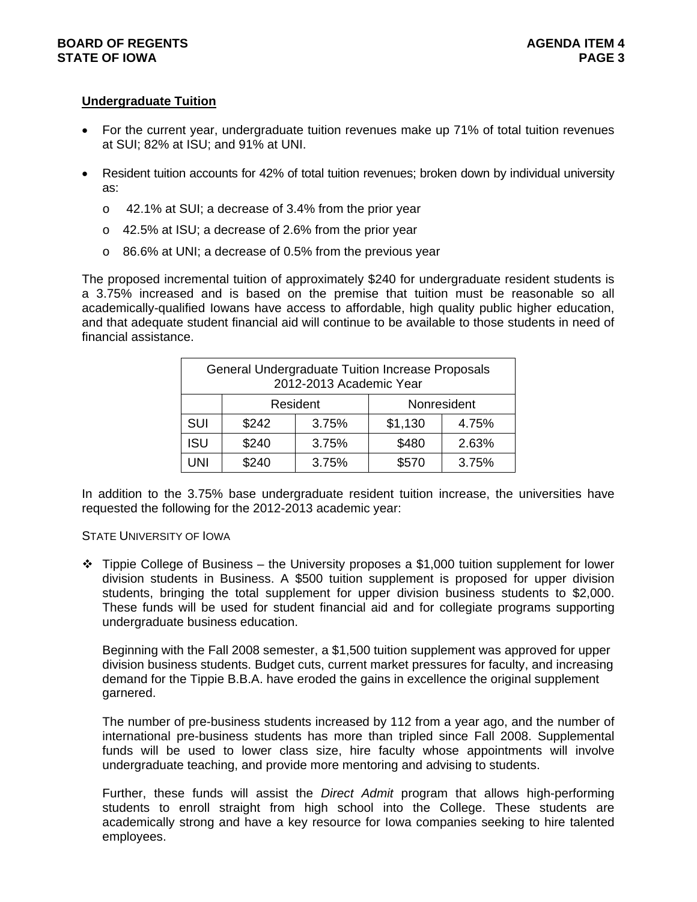# **BOARD OF REGENTS AGENTS** AGENDA ITEM 4 **STATE OF IOWA** PAGE 3

# **Undergraduate Tuition**

- For the current year, undergraduate tuition revenues make up 71% of total tuition revenues at SUI; 82% at ISU; and 91% at UNI.
- Resident tuition accounts for 42% of total tuition revenues; broken down by individual university as:
	- o 42.1% at SUI; a decrease of 3.4% from the prior year
	- o 42.5% at ISU; a decrease of 2.6% from the prior year
	- o 86.6% at UNI; a decrease of 0.5% from the previous year

The proposed incremental tuition of approximately \$240 for undergraduate resident students is a 3.75% increased and is based on the premise that tuition must be reasonable so all academically-qualified Iowans have access to affordable, high quality public higher education, and that adequate student financial aid will continue to be available to those students in need of financial assistance.

|            | <b>General Undergraduate Tuition Increase Proposals</b> | 2012-2013 Academic Year |         |             |
|------------|---------------------------------------------------------|-------------------------|---------|-------------|
|            |                                                         | Resident                |         | Nonresident |
| <b>SUI</b> | \$242                                                   | 3.75%                   | \$1,130 | 4.75%       |
| <b>ISU</b> | \$240                                                   | 3.75%                   | \$480   | 2.63%       |
| JNI        | \$240                                                   | 3.75%                   | \$570   | 3.75%       |

In addition to the 3.75% base undergraduate resident tuition increase, the universities have requested the following for the 2012-2013 academic year:

# STATE UNIVERSITY OF IOWA

 $\div$  Tippie College of Business – the University proposes a \$1,000 tuition supplement for lower division students in Business. A \$500 tuition supplement is proposed for upper division students, bringing the total supplement for upper division business students to \$2,000. These funds will be used for student financial aid and for collegiate programs supporting undergraduate business education.

Beginning with the Fall 2008 semester, a \$1,500 tuition supplement was approved for upper division business students. Budget cuts, current market pressures for faculty, and increasing demand for the Tippie B.B.A. have eroded the gains in excellence the original supplement garnered.

The number of pre-business students increased by 112 from a year ago, and the number of international pre-business students has more than tripled since Fall 2008. Supplemental funds will be used to lower class size, hire faculty whose appointments will involve undergraduate teaching, and provide more mentoring and advising to students.

Further, these funds will assist the *Direct Admit* program that allows high-performing students to enroll straight from high school into the College. These students are academically strong and have a key resource for Iowa companies seeking to hire talented employees.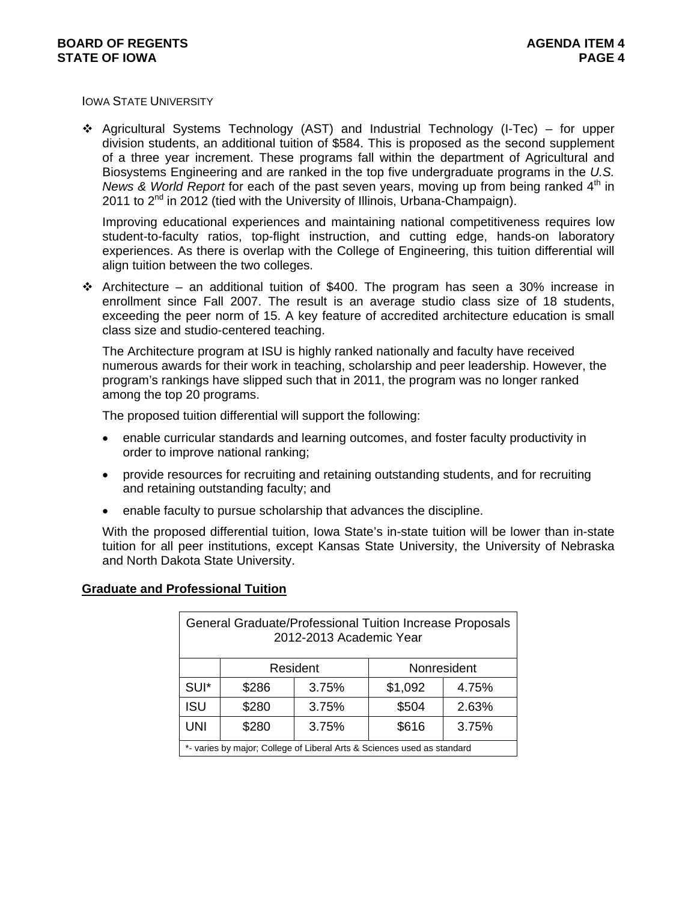IOWA STATE UNIVERSITY

 $\div$  Agricultural Systems Technology (AST) and Industrial Technology (I-Tec) – for upper division students, an additional tuition of \$584. This is proposed as the second supplement of a three year increment. These programs fall within the department of Agricultural and Biosystems Engineering and are ranked in the top five undergraduate programs in the *U.S. News & World Report* for each of the past seven years, moving up from being ranked 4<sup>th</sup> in 2011 to  $2^{nd}$  in 2012 (tied with the University of Illinois, Urbana-Champaign).

Improving educational experiences and maintaining national competitiveness requires low student-to-faculty ratios, top-flight instruction, and cutting edge, hands-on laboratory experiences. As there is overlap with the College of Engineering, this tuition differential will align tuition between the two colleges.

Architecture – an additional tuition of \$400. The program has seen a 30% increase in enrollment since Fall 2007. The result is an average studio class size of 18 students, exceeding the peer norm of 15. A key feature of accredited architecture education is small class size and studio-centered teaching.

The Architecture program at ISU is highly ranked nationally and faculty have received numerous awards for their work in teaching, scholarship and peer leadership. However, the program's rankings have slipped such that in 2011, the program was no longer ranked among the top 20 programs.

The proposed tuition differential will support the following:

- enable curricular standards and learning outcomes, and foster faculty productivity in order to improve national ranking;
- provide resources for recruiting and retaining outstanding students, and for recruiting and retaining outstanding faculty; and
- enable faculty to pursue scholarship that advances the discipline.

With the proposed differential tuition, Iowa State's in-state tuition will be lower than in-state tuition for all peer institutions, except Kansas State University, the University of Nebraska and North Dakota State University.

|            |       | 2012-2013 Academic Year | General Graduate/Professional Tuition Increase Proposals                |       |
|------------|-------|-------------------------|-------------------------------------------------------------------------|-------|
|            |       | Resident                | Nonresident                                                             |       |
| SUI*       | \$286 | 3.75%                   | \$1,092                                                                 | 4.75% |
| <b>ISU</b> | \$280 | 3.75%                   | \$504                                                                   | 2.63% |
| <b>UNI</b> | \$280 | 3.75%                   | \$616                                                                   | 3.75% |
|            |       |                         | *- varies by major; College of Liberal Arts & Sciences used as standard |       |

**Graduate and Professional Tuition**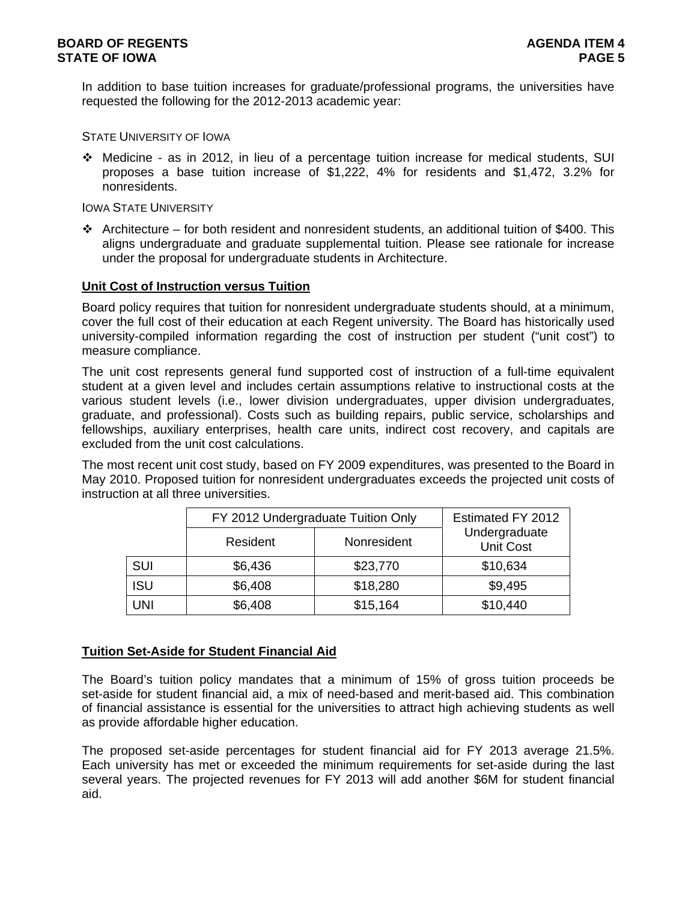In addition to base tuition increases for graduate/professional programs, the universities have requested the following for the 2012-2013 academic year:

STATE UNIVERSITY OF IOWA

 Medicine - as in 2012, in lieu of a percentage tuition increase for medical students, SUI proposes a base tuition increase of \$1,222, 4% for residents and \$1,472, 3.2% for nonresidents.

# IOWA STATE UNIVERSITY

Architecture – for both resident and nonresident students, an additional tuition of \$400. This aligns undergraduate and graduate supplemental tuition. Please see rationale for increase under the proposal for undergraduate students in Architecture.

# **Unit Cost of Instruction versus Tuition**

Board policy requires that tuition for nonresident undergraduate students should, at a minimum, cover the full cost of their education at each Regent university. The Board has historically used university-compiled information regarding the cost of instruction per student ("unit cost") to measure compliance.

The unit cost represents general fund supported cost of instruction of a full-time equivalent student at a given level and includes certain assumptions relative to instructional costs at the various student levels (i.e., lower division undergraduates, upper division undergraduates, graduate, and professional). Costs such as building repairs, public service, scholarships and fellowships, auxiliary enterprises, health care units, indirect cost recovery, and capitals are excluded from the unit cost calculations.

The most recent unit cost study, based on FY 2009 expenditures, was presented to the Board in May 2010. Proposed tuition for nonresident undergraduates exceeds the projected unit costs of instruction at all three universities.

|            | FY 2012 Undergraduate Tuition Only |             | Estimated FY 2012                 |
|------------|------------------------------------|-------------|-----------------------------------|
|            | Resident                           | Nonresident | Undergraduate<br><b>Unit Cost</b> |
| SUI        | \$6,436                            | \$23,770    | \$10,634                          |
| <b>ISU</b> | \$6,408                            | \$18,280    | \$9,495                           |
| UNI        | \$6,408                            | \$15,164    | \$10,440                          |

# **Tuition Set-Aside for Student Financial Aid**

The Board's tuition policy mandates that a minimum of 15% of gross tuition proceeds be set-aside for student financial aid, a mix of need-based and merit-based aid. This combination of financial assistance is essential for the universities to attract high achieving students as well as provide affordable higher education.

The proposed set-aside percentages for student financial aid for FY 2013 average 21.5%. Each university has met or exceeded the minimum requirements for set-aside during the last several years. The projected revenues for FY 2013 will add another \$6M for student financial aid.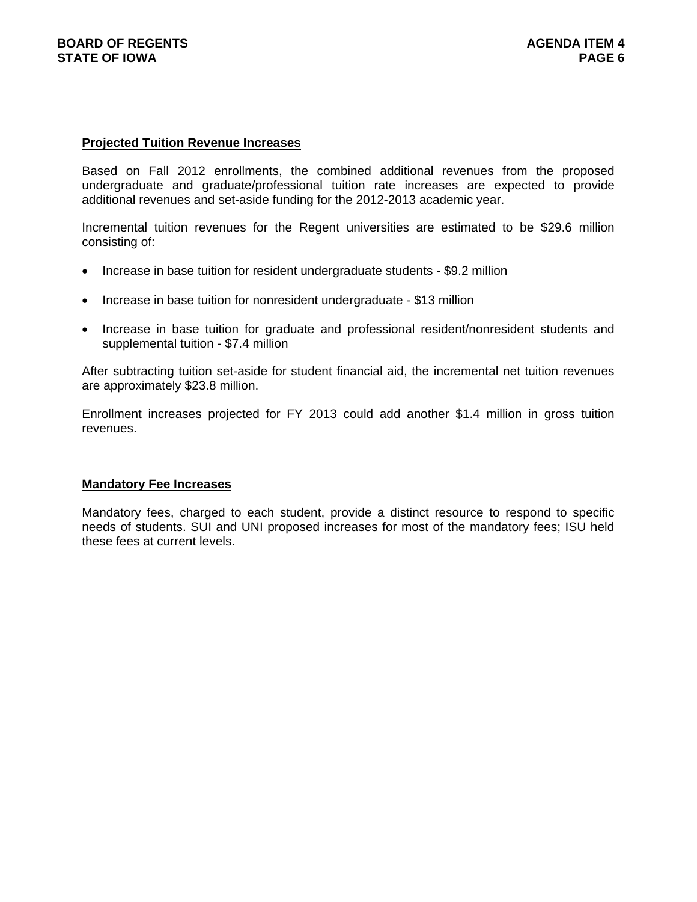## **Projected Tuition Revenue Increases**

Based on Fall 2012 enrollments, the combined additional revenues from the proposed undergraduate and graduate/professional tuition rate increases are expected to provide additional revenues and set-aside funding for the 2012-2013 academic year.

Incremental tuition revenues for the Regent universities are estimated to be \$29.6 million consisting of:

- Increase in base tuition for resident undergraduate students \$9.2 million
- Increase in base tuition for nonresident undergraduate \$13 million
- Increase in base tuition for graduate and professional resident/nonresident students and supplemental tuition - \$7.4 million

After subtracting tuition set-aside for student financial aid, the incremental net tuition revenues are approximately \$23.8 million.

Enrollment increases projected for FY 2013 could add another \$1.4 million in gross tuition revenues.

# **Mandatory Fee Increases**

Mandatory fees, charged to each student, provide a distinct resource to respond to specific needs of students. SUI and UNI proposed increases for most of the mandatory fees; ISU held these fees at current levels.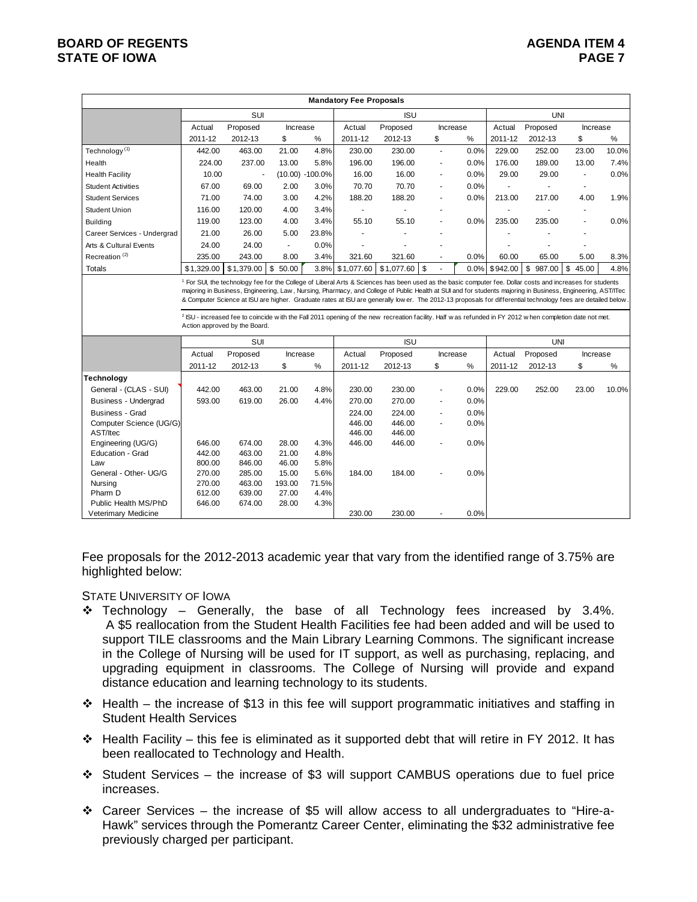# **BOARD OF REGENTS AGENTS** AGENDA ITEM 4 **STATE OF IOWA** PAGE 7

|                                |                  |                                                                                                                                                                                                                                                                                                                                                                   |                             |                     | <b>Mandatory Fee Proposals</b> |                 |                |         |          |            |                          |       |
|--------------------------------|------------------|-------------------------------------------------------------------------------------------------------------------------------------------------------------------------------------------------------------------------------------------------------------------------------------------------------------------------------------------------------------------|-----------------------------|---------------------|--------------------------------|-----------------|----------------|---------|----------|------------|--------------------------|-------|
|                                |                  | SUI                                                                                                                                                                                                                                                                                                                                                               |                             |                     |                                | <b>ISU</b>      |                |         |          | <b>UNI</b> |                          |       |
|                                | Actual           | Proposed                                                                                                                                                                                                                                                                                                                                                          | Increase                    |                     | Actual                         | Proposed        | Increase       |         | Actual   | Proposed   | Increase                 |       |
|                                | 2011-12          | 2012-13                                                                                                                                                                                                                                                                                                                                                           | \$                          | $\%$                | 2011-12                        | 2012-13         | \$             | %       | 2011-12  | 2012-13    | \$                       | %     |
| Technology <sup>(1)</sup>      | 442.00           | 463.00                                                                                                                                                                                                                                                                                                                                                            | 21.00                       | 4.8%                | 230.00                         | 230.00          | ä,             | 0.0%    | 229.00   | 252.00     | 23.00                    | 10.0% |
| Health                         | 224.00           | 237.00                                                                                                                                                                                                                                                                                                                                                            | 13.00                       | 5.8%                | 196.00                         | 196.00          | ٠              | 0.0%    | 176.00   | 189.00     | 13.00                    | 7.4%  |
| <b>Health Facility</b>         | 10.00            |                                                                                                                                                                                                                                                                                                                                                                   |                             | $(10.00) - 100.0\%$ | 16.00                          | 16.00           |                | 0.0%    | 29.00    | 29.00      | $\blacksquare$           | 0.0%  |
| <b>Student Activities</b>      | 67.00            | 69.00                                                                                                                                                                                                                                                                                                                                                             | 2.00                        | 3.0%                | 70.70                          | 70.70           |                | 0.0%    |          |            | $\sim$                   |       |
| <b>Student Services</b>        | 71.00            | 74.00                                                                                                                                                                                                                                                                                                                                                             | 3.00                        | 4.2%                | 188.20                         | 188.20          |                | 0.0%    | 213.00   | 217.00     | 4.00                     | 1.9%  |
| <b>Student Union</b>           | 116.00           | 120.00                                                                                                                                                                                                                                                                                                                                                            | 4.00                        | 3.4%                | $\overline{\phantom{a}}$       |                 |                |         | ٠        |            | $\blacksquare$           |       |
| <b>Building</b>                | 119.00           | 123.00                                                                                                                                                                                                                                                                                                                                                            | 4.00                        | 3.4%                | 55.10                          | 55.10           |                | 0.0%    | 235.00   | 235.00     | $\overline{\phantom{a}}$ | 0.0%  |
| Career Services - Undergrad    | 21.00            | 26.00                                                                                                                                                                                                                                                                                                                                                             | 5.00                        | 23.8%               |                                |                 |                |         |          |            |                          |       |
| Arts & Cultural Events         | 24.00            | 24.00                                                                                                                                                                                                                                                                                                                                                             | $\mathcal{L}_{\mathcal{A}}$ | 0.0%                |                                |                 |                |         |          |            |                          |       |
| Recreation <sup>(2)</sup>      | 235.00           | 243.00                                                                                                                                                                                                                                                                                                                                                            | 8.00                        | 3.4%                | 321.60                         | 321.60          |                | $0.0\%$ | 60.00    | 65.00      | 5.00                     | 8.3%  |
| <b>Totals</b>                  |                  | $$1,329.00$ $$1,379.00$                                                                                                                                                                                                                                                                                                                                           | $\sqrt{3}$<br>50.00         |                     | 3.8% \$1,077.60                | $$1,077.60$ \\$ |                | 0.0%    | \$942.00 | \$987.00   | \$<br>45.00              | 4.8%  |
|                                |                  | & Computer Science at ISU are higher. Graduate rates at ISU are generally lower. The 2012-13 proposals for differential technology fees are detailed below<br><sup>2</sup> ISU - increased fee to coincide with the Fall 2011 opening of the new recreation facility. Half was refunded in FY 2012 when completion date not met.<br>Action approved by the Board. |                             |                     |                                |                 |                |         |          |            |                          |       |
|                                |                  | SUI                                                                                                                                                                                                                                                                                                                                                               |                             |                     |                                | <b>ISU</b>      |                |         |          | <b>UNI</b> |                          |       |
|                                | Actual           | Proposed                                                                                                                                                                                                                                                                                                                                                          | Increase                    |                     | Actual                         | Proposed        | Increase       |         | Actual   | Proposed   | Increase                 |       |
|                                | 2011-12          | 2012-13                                                                                                                                                                                                                                                                                                                                                           | \$                          | %                   | 2011-12                        | 2012-13         | \$             | %       | 2011-12  | 2012-13    | \$                       | $\%$  |
| Technology                     |                  |                                                                                                                                                                                                                                                                                                                                                                   |                             |                     |                                |                 |                |         |          |            |                          |       |
| General - (CLAS - SUI)         | 442.00           | 463.00                                                                                                                                                                                                                                                                                                                                                            | 21.00                       | 4.8%                | 230.00                         | 230.00          |                | 0.0%    | 229.00   | 252.00     | 23.00                    | 10.0% |
| Business - Undergrad           | 593.00           | 619.00                                                                                                                                                                                                                                                                                                                                                            | 26.00                       | 4.4%                | 270.00                         | 270.00          |                | 0.0%    |          |            |                          |       |
| Business - Grad                |                  |                                                                                                                                                                                                                                                                                                                                                                   |                             |                     | 224.00                         | 224.00          | $\blacksquare$ | 0.0%    |          |            |                          |       |
| Computer Science (UG/G)        |                  |                                                                                                                                                                                                                                                                                                                                                                   |                             |                     | 446.00                         | 446.00          |                | 0.0%    |          |            |                          |       |
| AST/Itec                       |                  |                                                                                                                                                                                                                                                                                                                                                                   |                             |                     | 446.00                         | 446.00          |                |         |          |            |                          |       |
| Engineering (UG/G)             | 646.00           | 674.00                                                                                                                                                                                                                                                                                                                                                            | 28.00                       | 4.3%                | 446.00                         | 446.00          |                | 0.0%    |          |            |                          |       |
| <b>Education - Grad</b><br>Law | 442.00<br>800.00 | 463.00<br>846.00                                                                                                                                                                                                                                                                                                                                                  | 21.00<br>46.00              | 4.8%<br>5.8%        |                                |                 |                |         |          |            |                          |       |
| General - Other- UG/G          | 270.00           | 285.00                                                                                                                                                                                                                                                                                                                                                            | 15.00                       | 5.6%                | 184.00                         | 184.00          |                | 0.0%    |          |            |                          |       |
| Nursing                        | 270.00           | 463.00                                                                                                                                                                                                                                                                                                                                                            | 193.00                      | 71.5%               |                                |                 |                |         |          |            |                          |       |
| Pharm D                        | 612.00           | 639.00                                                                                                                                                                                                                                                                                                                                                            | 27.00                       | 4.4%                |                                |                 |                |         |          |            |                          |       |
| Public Health MS/PhD           | 646.00           | 674.00                                                                                                                                                                                                                                                                                                                                                            | 28.00                       | 4.3%                |                                |                 |                |         |          |            |                          |       |
| Veterimary Medicine            |                  |                                                                                                                                                                                                                                                                                                                                                                   |                             |                     | 230.00                         | 230.00          |                | 0.0%    |          |            |                          |       |

Fee proposals for the 2012-2013 academic year that vary from the identified range of 3.75% are highlighted below:

# STATE UNIVERSITY OF IOWA

- Technology Generally, the base of all Technology fees increased by 3.4%. A \$5 reallocation from the Student Health Facilities fee had been added and will be used to support TILE classrooms and the Main Library Learning Commons. The significant increase in the College of Nursing will be used for IT support, as well as purchasing, replacing, and upgrading equipment in classrooms. The College of Nursing will provide and expand distance education and learning technology to its students.
- $\div$  Health the increase of \$13 in this fee will support programmatic initiatives and staffing in Student Health Services
- $\div$  Health Facility this fee is eliminated as it supported debt that will retire in FY 2012. It has been reallocated to Technology and Health.
- $\div$  Student Services the increase of \$3 will support CAMBUS operations due to fuel price increases.
- $\div$  Career Services the increase of \$5 will allow access to all undergraduates to "Hire-a-Hawk" services through the Pomerantz Career Center, eliminating the \$32 administrative fee previously charged per participant.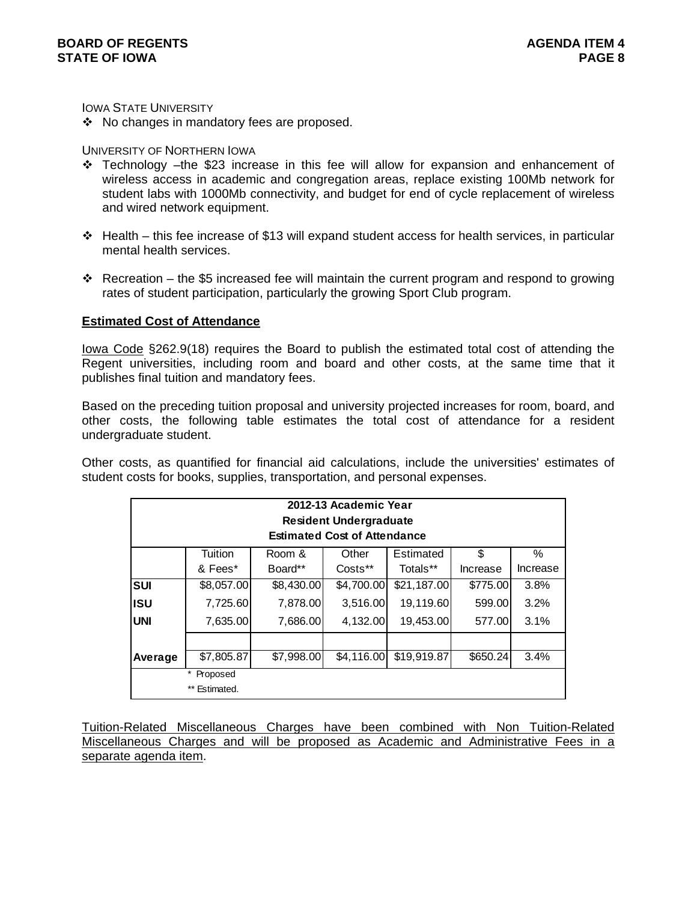IOWA STATE UNIVERSITY

❖ No changes in mandatory fees are proposed.

# UNIVERSITY OF NORTHERN IOWA

- Technology –the \$23 increase in this fee will allow for expansion and enhancement of wireless access in academic and congregation areas, replace existing 100Mb network for student labs with 1000Mb connectivity, and budget for end of cycle replacement of wireless and wired network equipment.
- $\cdot \cdot$  Health this fee increase of \$13 will expand student access for health services, in particular mental health services.
- Recreation the \$5 increased fee will maintain the current program and respond to growing rates of student participation, particularly the growing Sport Club program.

# **Estimated Cost of Attendance**

Iowa Code §262.9(18) requires the Board to publish the estimated total cost of attending the Regent universities, including room and board and other costs, at the same time that it publishes final tuition and mandatory fees.

Based on the preceding tuition proposal and university projected increases for room, board, and other costs, the following table estimates the total cost of attendance for a resident undergraduate student.

Other costs, as quantified for financial aid calculations, include the universities' estimates of student costs for books, supplies, transportation, and personal expenses.

|            |                                |            | 2012-13 Academic Year<br><b>Resident Undergraduate</b><br><b>Estimated Cost of Attendance</b> |             |          |          |
|------------|--------------------------------|------------|-----------------------------------------------------------------------------------------------|-------------|----------|----------|
|            | Tuition                        | Room &     | Other                                                                                         | Estimated   | \$       | ℅        |
|            | & Fees*                        | Board**    | Costs**                                                                                       | Totals**    | Increase | Increase |
| <b>SUI</b> | \$8,057.00                     | \$8,430.00 | \$4,700.00                                                                                    | \$21,187.00 | \$775.00 | 3.8%     |
| <b>ISU</b> | 7,725.60                       | 7,878.00   | 3,516.00                                                                                      | 19,119.60   | 599.00   | 3.2%     |
| <b>UNI</b> | 7,635.00                       | 7,686.00   | 4,132.00                                                                                      | 19,453.00   | 577.00   | 3.1%     |
|            |                                |            |                                                                                               |             |          |          |
| Average    | \$7,805.87                     | \$7,998.00 | \$4,116.00                                                                                    | \$19,919.87 | \$650.24 | 3.4%     |
|            | *<br>Proposed<br>** Estimated. |            |                                                                                               |             |          |          |

Tuition-Related Miscellaneous Charges have been combined with Non Tuition-Related Miscellaneous Charges and will be proposed as Academic and Administrative Fees in a separate agenda item.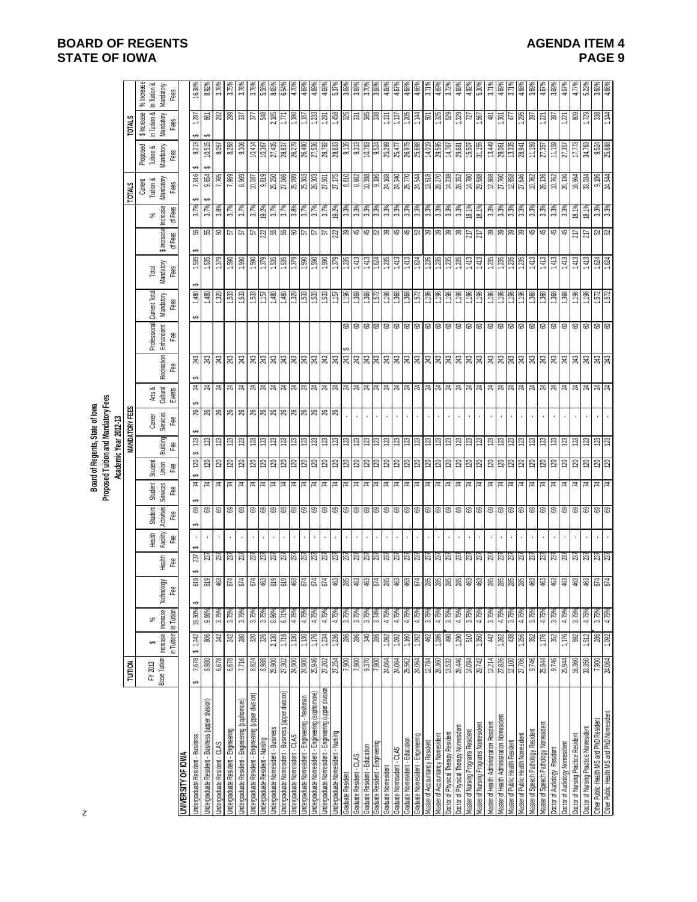# **BOARD OF REGENTS**<br>STATE OF IOWA **AGENDA ITEM 4 STATE OF IOWA**

|                                                                                       |                                   |                       |                         |               |                            |                      |                                                     |                                                                                |                                                         | Proposed Tuition and Mandatory Fees<br>Board of Regents, State of lowa |                       |                             |                           |                                 |                       |                       |                                                    |                                                  |                         |                                                                                     |                                           |
|---------------------------------------------------------------------------------------|-----------------------------------|-----------------------|-------------------------|---------------|----------------------------|----------------------|-----------------------------------------------------|--------------------------------------------------------------------------------|---------------------------------------------------------|------------------------------------------------------------------------|-----------------------|-----------------------------|---------------------------|---------------------------------|-----------------------|-----------------------|----------------------------------------------------|--------------------------------------------------|-------------------------|-------------------------------------------------------------------------------------|-------------------------------------------|
|                                                                                       | <b>TUITION</b>                    |                       |                         |               |                            |                      |                                                     |                                                                                | Academic Year 2012-13                                   | <b>MANDATORY FEES</b>                                                  |                       |                             |                           |                                 |                       |                       | <b>TOTALS</b>                                      |                                                  | <b>TOTALS</b>           |                                                                                     |                                           |
|                                                                                       | Base Tuition   hcrease<br>FY 2013 | ↮                     | <b>h</b> crease<br>$\%$ | δØ<br>Technol |                            | Health<br>Facility   | Student<br>Services<br>Activities<br><b>Student</b> | Student<br>Jhion                                                               | Building                                                | Career<br>Services                                                     | Arts &<br>Cultural    | Recreation                  | Professional<br>Enhancemt | Current Total<br>Mandatory      | Mandatory<br>Total    | \$ Increase           | Mandatory<br>Current<br>Tuition &<br>Increase<br>% | Proposed<br>Tuition &<br>Mandatory               |                         | in Tuition &<br>\$ Increase<br>Mandatory                                            | In Tuition &<br>$%$ Increase<br>Mandatory |
| UNIVERSITY OF IOWA                                                                    |                                   | in Tuition in Tuition |                         | <u>දී</u>     | Heath<br>Fee               | Fee                  | Fee<br>Fee                                          | Ĝ۹                                                                             | <b>Lee</b>                                              | Fee                                                                    | Events                | Fee                         | Fee                       | Fees                            | Fees                  | of Fees               | Fees<br>of Fees                                    | Fees                                             | Fees                    |                                                                                     | Fees                                      |
| Undergraduate Resident - Business                                                     | 7,678                             | 1,242<br>⊷            | 19.30%                  |               | 237                        |                      | ස                                                   | 4                                                                              | 123                                                     |                                                                        |                       |                             |                           | 1,480                           | 1,535                 | 78                    | 3.7%                                               | 7,916                                            | ↮<br>9,213              | 297                                                                                 | 16.38%                                    |
| Undergraduate Resident - Business (upper division)                                    | 8,980                             | 806                   | 9.86%                   | $\frac{1}{2}$ |                            |                      |                                                     | $\frac{8}{2}$ $\frac{8}{2}$                                                    |                                                         | $\frac{8}{8}$ ន                                                        | ಸ $\vert$ ಸ $\vert$ ಸ | $\frac{2}{3}$ $\frac{2}{3}$ |                           | 1,480                           |                       | 95                    | ക<br>3.7%                                          | 9,654                                            | ക<br>10,515             |                                                                                     |                                           |
| Undergraduate Resident - CLAS                                                         | 6,678                             | 242                   | 3.75%                   |               | $\frac{23}{23}$            | $\cdot$              | <b>8</b> පි                                         | 치 보                                                                            | $123$                                                   |                                                                        |                       |                             |                           | 1,329                           | 1,535                 | ន                     | 3.8%                                               | 7,765                                            | 8,057                   | <b>&amp;</b> 28                                                                     | 3.76%                                     |
| Jndergraduate Resident - Engineering                                                  | 6,678                             | 242                   | 3.75%                   |               | 237                        | $\cdot$              | ස                                                   | $\approx$<br>$\overline{z}$                                                    | 123                                                     | 26                                                                     | $^{14}$               | 243                         |                           | 1,533                           | 1,590                 | 57                    | 3.7%                                               | 7,969                                            | 8,268                   |                                                                                     | 3.75%                                     |
| Undergraduate Resident - Engineering (sophomore)                                      | 7,716                             | 280                   | 3.75%                   |               |                            |                      | ශ                                                   | $\overline{5}$<br>$\overline{r}$                                               | 123                                                     | $\approx$                                                              |                       | 243                         |                           | 1,533                           | 1,590                 | 57                    | 3.7%                                               | 8,969                                            | 9.306                   |                                                                                     | 3.76%                                     |
| Indergraduate Resident - Engineering (upper division)                                 | 8,824                             | $320\,$               | 3.75%                   |               | $\frac{23}{23}$            |                      | 888                                                 | 치치                                                                             | $ 3 $ $ 3 $ $ 3 $                                       |                                                                        |                       | <b>3월 3월</b>                |                           | $533\,$                         | $\frac{80}{150}$      | $5\overline{6}$       |                                                    | $\frac{10,037}{9,819}$                           | 10,414                  | $rac{37}{548}$                                                                      |                                           |
| <b>Jndergraduate Resident - Nursing</b>                                               | 8,988                             | 326                   | 3.75%                   |               |                            |                      |                                                     |                                                                                |                                                         |                                                                        |                       |                             |                           | /91'l                           |                       | <u>ន្ត្រ</u>          | $\frac{3.7\%}{19.2\%}$                             |                                                  | $\frac{10,367}{27,435}$ |                                                                                     |                                           |
| <b>Jndergraduate Nonresident - Business</b>                                           |                                   | 2,130                 | 8.96%                   |               |                            |                      |                                                     |                                                                                |                                                         |                                                                        |                       |                             |                           | 1,480                           |                       |                       |                                                    |                                                  |                         |                                                                                     | 8.659                                     |
| Indergraduate Nonresident - Business (upper division)                                 | 27,302                            | 1,716                 | 6.71%                   |               | 237                        |                      |                                                     | $\overline{z}$                                                                 |                                                         |                                                                        |                       | 243                         |                           | 1,480                           | 1,535                 | œ,                    | 3.7%                                               | 27,066<br>25,099                                 | 28,837                  | 1771                                                                                | 6.54                                      |
| <b>Journal Advisement</b> - CLAS                                                      | 24,900                            | 1,130                 | 4.75%                   |               | $\frac{27}{23}$            |                      | 8888                                                | 777                                                                            | 23                                                      |                                                                        |                       | 243<br>243                  |                           | 1,329                           | 1,379                 | $^{76}$ $\rm{g}$      | 3.8%                                               |                                                  | 26,279                  | 0811                                                                                | 4.70%                                     |
| Jndergraduate Nonresident - Engineering - freshman                                    | 24,900                            | 1,130                 | 4.75%                   |               |                            |                      |                                                     |                                                                                |                                                         |                                                                        |                       |                             |                           | 1,533                           |                       |                       | 3.7%                                               | 25,303                                           | 26,490                  | 1,187                                                                               | 4.69                                      |
| Indergraduate Nonresident - Engineering (sophomore)                                   | 25,946<br>27,202                  | 1,176<br>1,234        | 4.75%<br>4.75%          |               | 237<br>237                 |                      |                                                     | 74                                                                             | 123                                                     | ଞ୍ଜ ଞ୍ଜ ଞ୍ଜ ଞ୍ଜ ଞ୍ଜ ଞ୍ଜ ଞ୍ଜ                                            |                       |                             |                           | 1,533<br>1,533                  | 1,590<br>1,590        | 29                    | 3.7%<br>3.7%                                       | 26,303<br>27,501                                 | 27,536<br>28,792        | 1,233<br>1,291                                                                      | 4.69<br>4.69                              |
| Jndergraduate Nonresident - Engineering (upper division                               |                                   |                       |                         |               |                            |                      |                                                     |                                                                                |                                                         |                                                                        |                       |                             |                           |                                 |                       |                       |                                                    |                                                  |                         |                                                                                     |                                           |
| Jndergraduate Nonresident - Nursing                                                   | 27,254                            | 1,236                 | 4.75%                   |               | 737                        |                      |                                                     | <b>z</b>                                                                       | $\overline{23}$<br>123                                  |                                                                        |                       | $\frac{1}{2}$ $\frac{1}{2}$ |                           | $\frac{80}{11}$<br><u>/sr'i</u> | 1,379<br>1,235        | $\frac{22}{39}$       | 19.2%                                              | 27,175                                           | 28,633                  | 458                                                                                 | 5.37                                      |
| Graduate Resident                                                                     | 7,900<br>006'/                    | 286                   | 3.75%<br>3.75%          |               | 237<br>237                 | $\ddot{\phantom{a}}$ |                                                     | 74<br>$\overline{1}$                                                           |                                                         | $\bar{z}$<br>Ġ,                                                        |                       |                             | 8                         |                                 |                       |                       | 3.3%<br>3.3%                                       | 018'8                                            | 9,135<br>9,313          |                                                                                     | 3.69<br>3.69                              |
| Graduate Resident - Education<br>Graduate Resident - CLAS                             | 9,370                             | 286<br>340            | 3.75%                   |               |                            |                      |                                                     |                                                                                |                                                         |                                                                        |                       |                             | CO.                       | 1,368                           | 1,413<br>1,413        | \$1                   |                                                    | 8,982                                            |                         |                                                                                     | $370^{\circ}$                             |
| Graduate Resident - Engineering                                                       | 7,900                             | 286                   | 3.74%                   |               | $\frac{237}{237}$          |                      | 8888888                                             | 회형 회회회회회회회회회회회회회회회회회회회회회회회회회회<br>74                                            | $\frac{1}{2}$ $\frac{1}{2}$ $\frac{1}{2}$ $\frac{1}{2}$ | $\ddot{\phantom{a}}$                                                   |                       |                             | 88888888888               | 1.572 88                        |                       | $48$ $\frac{1}{2}$    | 3.3%                                               | $\frac{10,398}{9,186}$<br>$\frac{9,186}{24,340}$ | $\frac{10,783}{9,524}$  | 3583                                                                                | 3.68                                      |
| Graduate Nonresident                                                                  | 24,064                            | <b>Z60</b>            | 4.75%                   |               |                            |                      |                                                     | 보,                                                                             |                                                         |                                                                        |                       |                             |                           |                                 | $1,824$<br>$1,235$    |                       | 3.3%                                               |                                                  | 25,299                  | <b>F51</b>                                                                          | 4.68                                      |
| Graduate Nonresident - CLAS                                                           | 24,064                            | 092                   | 4.75%                   |               | 737                        |                      |                                                     | $\overline{1}$                                                                 |                                                         |                                                                        |                       |                             |                           |                                 | 1,413                 | 45                    | 3.3%                                               |                                                  | 25,477                  | 131                                                                                 | 4.67                                      |
| Graduate Nonresident - Education                                                      | 25,562                            | 1,160                 | 4.75%                   |               | $\frac{27}{23}$            |                      |                                                     | $\frac{1}{74}$                                                                 | $\frac{23}{23}$                                         |                                                                        |                       |                             |                           | 1,368                           | 1,413                 |                       | 3.3%                                               | 25,770                                           | 26,975                  | 1,205                                                                               | 4.68                                      |
| Graduate Nonresident - Engineering                                                    | 24,064                            | 1,092                 | 4.75%                   |               |                            |                      |                                                     |                                                                                |                                                         |                                                                        |                       |                             |                           | 1,572                           | 1,624                 |                       | 3.3%                                               | 24,544                                           | 25,688                  | #F1                                                                                 | 4.66                                      |
| laster of Accountancy Resident                                                        | 12,784                            | 462                   | 3.75%                   |               | 237                        |                      | 888888888                                           | $\vert z \vert$                                                                | $\frac{28}{2}$                                          |                                                                        |                       |                             |                           | 961'1                           | 1,235                 | $\frac{15}{2}$ ង នៃ ន | <b>9'6E</b>                                        | 13,518                                           | 14,019                  | 50                                                                                  |                                           |
| Master of Accountancy Nonresident                                                     | 28,360                            | ,286                  | 4.75%                   |               | 237                        |                      |                                                     | 1치                                                                             |                                                         |                                                                        |                       |                             |                           | $\frac{80}{11}$                 | $\frac{125}{25}$      |                       | 33%                                                | 28,270                                           | 29,595                  |                                                                                     | 4,69                                      |
| <b>Joctor of Physical Therapy Resident</b>                                            | 13,532                            | 490                   | 3.75%                   |               | 27                         |                      |                                                     | H                                                                              |                                                         |                                                                        |                       |                             |                           | 1,196                           | 1,235                 | ន $ 3 $               | 3.3%                                               | 14,238                                           | 14,767                  |                                                                                     |                                           |
| Doctor of Physical Therapy Nonresiden                                                 | 28,446                            | 290                   | 4.75%                   |               | 237                        |                      |                                                     | $\vert z \vert$                                                                | $ z $ $ z $ $ z $                                       | $\overline{\phantom{a}}$                                               |                       |                             |                           | 1,196                           | 0.235                 |                       | 3.3%                                               | 28,352                                           | 29,681                  | $3.88$ និយ                                                                          | 4.69                                      |
| Master of Nursing Programs Nonresident<br><b>Vlaster of Nursing Programs Resident</b> | 14,094<br>29,742                  | 510<br>350            | 3.75%<br>4.75%          |               | $\frac{237}{237}$          |                      |                                                     | 치지                                                                             |                                                         |                                                                        |                       |                             |                           | 1,196                           | $\frac{1,413}{1,413}$ | $rac{27}{27}$         | 18.1%<br>18.1%                                     | 14,780<br>29,588                                 | $15,507$<br>31,155      |                                                                                     | 5.30%<br>4.92                             |
| Master of Health Administration Resident                                              | 12,214                            | $44$                  | 3.75%                   |               |                            |                      |                                                     |                                                                                |                                                         |                                                                        |                       |                             |                           | 1,196                           |                       |                       |                                                    |                                                  | 13,449                  |                                                                                     | 3.719                                     |
| Master of Health Administration Nonresident                                           | 27,826                            | 1,262                 | 4.75%                   |               |                            | $\cdot$              |                                                     |                                                                                |                                                         | $\cdot$                                                                |                       |                             |                           |                                 |                       |                       |                                                    |                                                  | 29,061                  |                                                                                     | 4.69%                                     |
| Master of Public Health Resident                                                      | 12.100                            | 438                   | 3.75%                   |               | 237<br>237                 |                      | 888                                                 | $\frac{14}{74}$                                                                | <b>222</b><br>23                                        |                                                                        |                       | 243<br>243                  | s s s s s                 | 1,196                           | $\frac{188}{128}$     | នានា                  | $\frac{3.3\%}{3.3\%}$                              | $\frac{12,968}{27,760}$                          | 13,335                  | $rac{20}{47}$                                                                       | 3.71                                      |
| Master of Public Health Nonresident                                                   | 27,706                            | 256                   | 4.75%                   |               | 237                        |                      | ස                                                   | $\overline{z}$                                                                 | 123                                                     |                                                                        |                       | 243                         |                           | 1,196                           | 1235                  | 99                    | 3.3%                                               | 27,646                                           | 28,941                  |                                                                                     | 4.68%                                     |
| Master of Speech Pathology Resident                                                   | 9,746                             | 352                   | 3.75%                   |               | 237                        |                      | <b>es</b>                                           | $\boldsymbol{\Sigma}$                                                          | 123                                                     |                                                                        |                       | 243                         |                           | 896'                            | 1,413                 | $\overline{4}$        | 3.3%                                               | 10,762                                           | 11,159                  | 295                                                                                 | 3.69                                      |
| Master of Speech Pathology Nonresident                                                | 25,944                            | 1,176                 | 4,75%                   |               | $\sqrt{37}$                |                      | 8                                                   | $\overline{z}$                                                                 | 123                                                     |                                                                        |                       |                             |                           | 1,368                           | 1,413                 | $\frac{4}{5}$         | 3.3%                                               | 26,136                                           | 27,357                  | $\overline{z}$                                                                      | 4.67                                      |
| Doctor of Audiology Resident                                                          | 9,746                             | 352                   | 3.75%                   |               | 237                        |                      | <b>es</b>                                           | $\overline{7}$                                                                 | 123                                                     |                                                                        |                       | 243                         | <b>CS</b>                 | 1,368                           | 1,413                 | $\overline{4}$        | 3.3%                                               | 10,762                                           | 11,159                  | 397                                                                                 | 3.699                                     |
| Doctor of Audiology Nonresident                                                       | 25,944                            | 1,176                 | 4.75%                   |               |                            |                      | 888                                                 |                                                                                | 123                                                     |                                                                        |                       |                             |                           | 1,368<br>1,196<br>1,196         | 1,413                 | 45                    | 3.3%                                               | 26,136                                           | $27,\!357$              |                                                                                     | 4.67%                                     |
| Doctor of Nursing Practice Resident                                                   | 16,360                            | 592                   | 3.75%                   |               |                            |                      |                                                     |                                                                                |                                                         |                                                                        |                       |                             |                           |                                 | 1,413                 | $\frac{27}{217}$      | 18.1%                                              | 16,964                                           | 17,773                  |                                                                                     | $4.77$ <sup>9</sup>                       |
| Doctor of Nursing Practice Nonresident                                                | 33,350                            | 1,512                 | 4.75%                   |               |                            |                      |                                                     |                                                                                |                                                         |                                                                        |                       |                             |                           |                                 | 1,413                 |                       | 18.1%                                              | 33,034                                           | 34,763                  |                                                                                     | 5.239                                     |
| Other Public Health MS and PhD Resident                                               | $\frac{7,900}{24,064}$            | 286<br>1,092          | 3.75%                   |               | $ \bar{z} \bar{z} \bar{z}$ |                      | 88                                                  | 회회회회회<br>$\frac{1}{7}$ $\frac{1}{7}$ $\frac{1}{7}$ $\frac{1}{7}$ $\frac{1}{7}$ | 123                                                     | $\mathcal{L}$                                                          |                       | $ 3 $ $ 3 $ $ 3 $ $ 3 $     | g g g g g                 | 1,572                           | 1,624                 | <b>22</b><br>23       | $3.3%$<br>$3.3%$                                   | $\frac{9,186}{24,544}$                           | 9,524<br>25,688         | $\sqrt{\frac{1}{2}}$ $\sqrt{\frac{1}{2}}$ $\sqrt{\frac{1}{2}}$ $\sqrt{\frac{1}{2}}$ | 3.68%                                     |
| Other Public Health MS and PhD Nonresident                                            |                                   |                       | 4.75%                   |               |                            |                      |                                                     |                                                                                |                                                         |                                                                        |                       |                             |                           |                                 |                       |                       |                                                    |                                                  |                         |                                                                                     |                                           |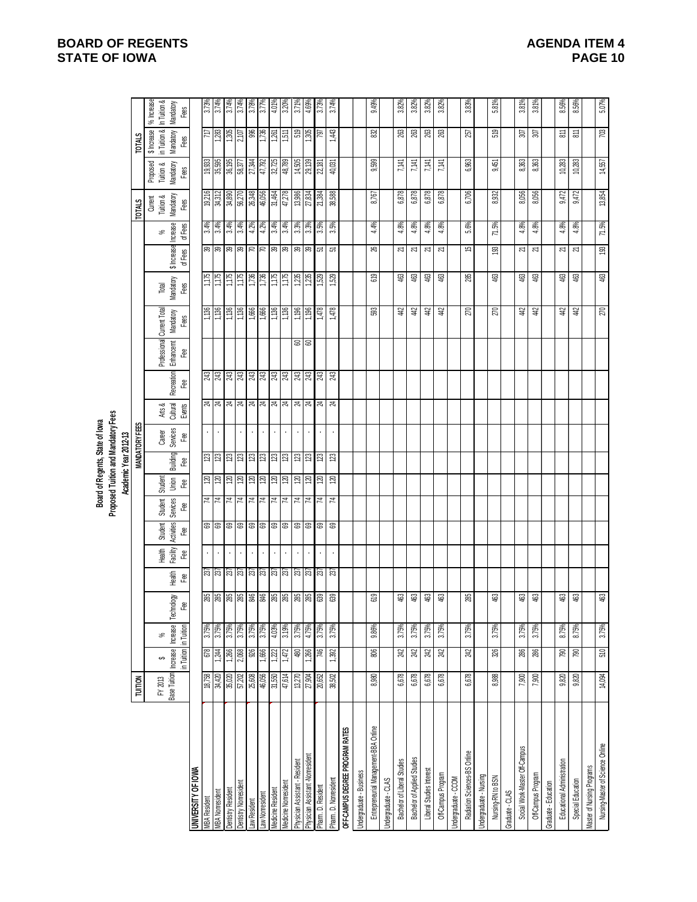|                                       |                         |                                                 |       |                  |                             |                          |                                             |                                         |                                          | Board of Regents, State of lowa     |                              |                                           |                                                                  |                   |                            |                                |                       |                                           |                                            |                                                  |                                                |
|---------------------------------------|-------------------------|-------------------------------------------------|-------|------------------|-----------------------------|--------------------------|---------------------------------------------|-----------------------------------------|------------------------------------------|-------------------------------------|------------------------------|-------------------------------------------|------------------------------------------------------------------|-------------------|----------------------------|--------------------------------|-----------------------|-------------------------------------------|--------------------------------------------|--------------------------------------------------|------------------------------------------------|
|                                       |                         |                                                 |       |                  |                             |                          |                                             |                                         | Academic Year 2012-13                    | Proposed Tuition and Mandatory Fees |                              |                                           |                                                                  |                   |                            |                                |                       |                                           |                                            |                                                  |                                                |
|                                       | <b>TUITION</b>          |                                                 |       |                  |                             |                          |                                             |                                         |                                          | <b>MANDATORY FEES</b>               |                              |                                           |                                                                  |                   |                            |                                |                       | <b>TOTALS</b>                             |                                            | <b>TOTALS</b>                                    |                                                |
|                                       | Base Tuition<br>FY 2013 | Increase Increase<br>in Tuition in Tuition<br>ക | వ్    | Technology<br>۴e | Health<br>ea<br>F           | Facility<br>Health<br>€€ | Activities Services<br>ee<br>Student<br>ee, | Student<br>Jnion<br>æ<br><b>Student</b> | Building<br>෫                            | Services<br>Career<br>Ĝ۹            | Arts &<br>Cultural<br>Events | <b>Recreation</b><br>Fæ                   | Professional Current Total<br>Enhancemt   Mandatory<br><u>දී</u> | Fees              | Mandatory<br>Total<br>Fees | \$ Increase Increase<br>ofFees | of Fees<br>$\%$       | Mandatory<br>Current<br>Tuition &<br>Fees | Mandatory<br>Proposed<br>Tuition &<br>Fees | in Tuition &<br>Mandatory<br>\$ Increase<br>Fees | % hcrease<br>In Tuition &<br>Mandatory<br>Fees |
| <b>JNIVERSITY OF IOWA</b>             |                         |                                                 |       |                  |                             |                          |                                             |                                         |                                          |                                     |                              |                                           |                                                                  |                   |                            |                                |                       |                                           |                                            |                                                  |                                                |
| <b>MBA Resident</b>                   | 18,758                  |                                                 | 3.75% |                  |                             |                          |                                             | 74                                      | $\frac{1}{2}$                            |                                     |                              |                                           |                                                                  | 1,136             | 1,175                      |                                |                       | 19,216                                    | 19,933                                     |                                                  |                                                |
| <b>MBA Nonresident</b>                | 34,420                  | 6744                                            | 3.75% | 285              | <b>SZ</b><br>SZ             |                          | ෂ ෂ                                         | 74                                      | $\frac{23}{2}$<br><u> ସ</u>              |                                     | ಸ  ಸ                         | $\frac{1}{28}$                            |                                                                  | 1,136             | 1,175                      | జె∣జె                          | $3.4%$<br>$3.4%$      | 34,312                                    | 35,595                                     | $\frac{177}{1,283}$                              | $\frac{3.73%}{3.74%}$                          |
| Dentistry Resident                    | 35,020                  | 1,266                                           | 3.75% |                  |                             |                          | ශ                                           | 74                                      | 123<br>120                               |                                     | 24                           |                                           |                                                                  | 1,136             | 1,175                      | æ                              | 3.4%                  | 34,890                                    | 36,195                                     | 1,305                                            | 3.74%                                          |
| Dentistry Nonresiden                  | 57,202                  | 2,068                                           | 3.75% | 88 第第            | $\frac{2}{3}$ $\frac{2}{3}$ |                          | ශ                                           | $\overline{z}$                          | $\frac{1}{2}$ $\frac{1}{2}$<br>$\approx$ |                                     | $\mathbb{Z}$                 | $\frac{1}{8}$ $\frac{1}{8}$ $\frac{1}{8}$ |                                                                  | 1,136             | 1,175                      | æ                              | 3.4%                  | 56,270                                    | 58,377                                     | 2,107                                            | 3.74%                                          |
| Law Resident                          | 25,608                  | 976                                             | 3.75% |                  |                             | $\overline{\phantom{a}}$ |                                             | 4                                       | 021                                      |                                     |                              |                                           |                                                                  | 1,666             | 1,736                      | RR                             | 4.2%                  | 26,348                                    | 27,344                                     | 996                                              | 3.78%                                          |
| Law Nonresident                       | 46,056                  | 1,666                                           | 3.75% |                  |                             |                          | ឌ ឌ                                         | 4                                       | $\approx$                                |                                     | ನ ಸ                          |                                           |                                                                  | 999'L             | 1,736                      |                                | 4.2%                  | 46,056                                    | 47,792                                     | 1,736                                            | 3.77%                                          |
| Medicine Resident                     | 31,550                  | 1,222                                           | 4.03% |                  |                             |                          |                                             | 4                                       |                                          |                                     |                              |                                           |                                                                  | 1,136             | 1,175                      |                                | 3.4%                  | 31,464                                    | 32,725                                     | $\frac{1}{2}$                                    | 4.01%                                          |
| Medicine Nonresident                  | 47,614                  | 1,472                                           | 3.19% | 88888            | ន <mark>្តា</mark> ន ន្ត្រា |                          | ෂ ෂ                                         | ∣≭                                      | $\frac{23}{2}$<br>$\frac{8}{12}$         |                                     | ম ম                          | <u>ञ्च श्रु श्रु</u>                      |                                                                  | 1,136             | 9211                       | $R$  ន ន                       | 3.4%                  | 47,278                                    | 48,789                                     | $\frac{15}{2}$                                   | 3.20%                                          |
| Physician Assistant - Resident        | 13,270                  | 480                                             | 3.75% |                  |                             | $\cdot$                  | 88                                          | $\overline{r}$                          | $\approx$                                |                                     |                              |                                           |                                                                  | 1,196             | 1,235                      |                                |                       | 13,986                                    | 14,505                                     | 579                                              | 3.71%                                          |
| Physician Assistant -Nonresident      | 27,904                  | 1,266                                           | %9/r  |                  |                             |                          |                                             | 74                                      | $\frac{18}{2}$<br>071                    |                                     | $\frac{3}{24}$               |                                           | <u>ေ</u> ေ                                                       | $\frac{1}{1,196}$ | 1,235                      |                                | $\frac{3.3\%}{3.3\%}$ | 27,834                                    | 29,139                                     | 1,305                                            | 4.69%                                          |
| Pharm. D. Resident                    | 20,652                  | 746                                             | 3.75% | 639              | 237                         |                          | ශ                                           | 74                                      | 123<br>$\approx$                         |                                     | $\boldsymbol{\mu}$           | $243\,$                                   |                                                                  | 1,478             | 1,529                      | 5                              | 3.5%                  | 21,384                                    | 22,181                                     | 161                                              | 3.73%                                          |
| Pharm. D. Nonresident                 | 38,502                  | 1,392                                           | 3.75% | 639              | 237                         |                          | ස                                           | 4                                       | 123<br>120                               |                                     | 24                           | æ,                                        |                                                                  | 1,478             | 1,529                      | ৯                              | 3.5%                  | 38,588                                    | 40,031                                     | $\ddot{4}$                                       | 3.74%                                          |
| OFF-CAMPUS DEGREE PROGRAM RATES       |                         |                                                 |       |                  |                             |                          |                                             |                                         |                                          |                                     |                              |                                           |                                                                  |                   |                            |                                |                       |                                           |                                            |                                                  |                                                |
| Undergraduate - Business              |                         |                                                 |       |                  |                             |                          |                                             |                                         |                                          |                                     |                              |                                           |                                                                  |                   |                            |                                |                       |                                           |                                            |                                                  |                                                |
| Entrepreneurial Management-BBA Online | 8,980                   | 806                                             | 9.86% | 619              |                             |                          |                                             |                                         |                                          |                                     |                              |                                           |                                                                  | 593               | 619                        | æ                              | 4.4%                  | 8,767                                     | 9,599                                      | 82                                               | 9.49%                                          |
| Jndergraduate - CLAS                  |                         |                                                 |       |                  |                             |                          |                                             |                                         |                                          |                                     |                              |                                           |                                                                  |                   |                            |                                |                       |                                           |                                            |                                                  |                                                |
| Bachelor of Liberal Studies           | 6,678                   | 242                                             | 3.75% | 463              |                             |                          |                                             |                                         |                                          |                                     |                              |                                           |                                                                  | #                 | 463                        | 21                             | 4.8%                  | 6,878                                     | 7,141                                      | 263                                              | 3.82%                                          |
| Bachelor of Applied Studies           | 6,678                   | 242                                             | 3.75% | 463              |                             |                          |                                             |                                         |                                          |                                     |                              |                                           |                                                                  | $42\,$            | 463                        | $\overline{\sim}$              | 4.8%                  | 6,878                                     | 7,141                                      | 263                                              | 3.82%                                          |
| Liberal Studies Interest              | 6,678                   | 242                                             | 3.75% | 463              |                             |                          |                                             |                                         |                                          |                                     |                              |                                           |                                                                  | $\#$              | 463                        | Z                              | 4.8%                  | 6,878                                     | 7,141                                      | 263                                              | 3.82%                                          |
| Off-Campus Program                    | 6,678                   | 242                                             | 3.75% | 463              |                             |                          |                                             |                                         |                                          |                                     |                              |                                           |                                                                  | 寻                 | 463                        | Z                              | 4.8%                  | 6,878                                     | 7,141                                      | 263                                              | 3.82%                                          |
| Jndergraduate - CCOM                  |                         |                                                 |       |                  |                             |                          |                                             |                                         |                                          |                                     |                              |                                           |                                                                  |                   |                            |                                |                       |                                           |                                            |                                                  |                                                |
| Radiation Sciences-BS Online          | 6,678                   | 242                                             | 3.75% | 285              |                             |                          |                                             |                                         |                                          |                                     |                              |                                           |                                                                  | 270               | 285                        | 15                             | 5.6%                  | 6,706                                     | 6,963                                      | 257                                              | 3.83%                                          |
| Jndergraduate - Nursing               |                         |                                                 |       |                  |                             |                          |                                             |                                         |                                          |                                     |                              |                                           |                                                                  |                   |                            |                                |                       |                                           |                                            |                                                  |                                                |
| Nursing-RN to BSN                     | 8,988                   | 326                                             | 3.75% | 463              |                             |                          |                                             |                                         |                                          |                                     |                              |                                           |                                                                  | 270               | \$                         | $\frac{8}{3}$                  | 71.5%                 | 8,932                                     | 9,451                                      | $519$                                            | 5.81%                                          |
| Graduate - CLAS                       |                         |                                                 |       |                  |                             |                          |                                             |                                         |                                          |                                     |                              |                                           |                                                                  |                   |                            |                                |                       |                                           |                                            |                                                  |                                                |
| Social Work-Master Off-Campus         | 7,900                   | 286                                             | 3.75% | 463              |                             |                          |                                             |                                         |                                          |                                     |                              |                                           |                                                                  | #                 | \$                         | 2                              | 4.8%                  | 8,056                                     | 8,363                                      | $307\,$                                          | 3.81%                                          |
| Off-Campus Program                    | 7,900                   | 286                                             | 3.75% | 463              |                             |                          |                                             |                                         |                                          |                                     |                              |                                           |                                                                  | #                 | $\mathfrak{S}$             | 2                              | 4.8%                  | 8,056                                     | 8,363                                      | $307\,$                                          | 3.81%                                          |
| Graduate - Education                  |                         |                                                 |       |                  |                             |                          |                                             |                                         |                                          |                                     |                              |                                           |                                                                  |                   |                            |                                |                       |                                           |                                            |                                                  |                                                |
| Educational Administration            | 9,820                   | 790                                             | 8.75% | 463              |                             |                          |                                             |                                         |                                          |                                     |                              |                                           |                                                                  | a,                | \$                         | 21                             | 4.8%                  | 9,472                                     | 10,283                                     | $\overline{\overline{\overline{8}}}$             | 8.56%                                          |
| Special Education                     | 9,820                   | 790                                             | 8.75% | 463              |                             |                          |                                             |                                         |                                          |                                     |                              |                                           |                                                                  | 寻                 | €₿                         | $\overline{\sim}$              | 4.8%                  | 9,472                                     | 10,283                                     | $\overline{\overline{\delta}}$                   | 8.56%                                          |
| Vlaster of Nursing Programs           |                         |                                                 |       |                  |                             |                          |                                             |                                         |                                          |                                     |                              |                                           |                                                                  |                   |                            |                                |                       |                                           |                                            |                                                  |                                                |
| Nursing-Master of Science Online      | 14,094                  | 510                                             | 3.75% | 463              |                             |                          |                                             |                                         |                                          |                                     |                              |                                           |                                                                  | $270\,$           | 463                        | $\overline{\mathbf{g}}$        | 71.5%                 | 13,854                                    | 14,557                                     | 703                                              | 5.07%                                          |

# **BOARD OF REGENTS**<br> **BOARD OF REGENTS**<br> **BOARD OF IOWA**<br> **BOARD OF IOWA**<br>
PAGE 10 **STATE OF IOWA**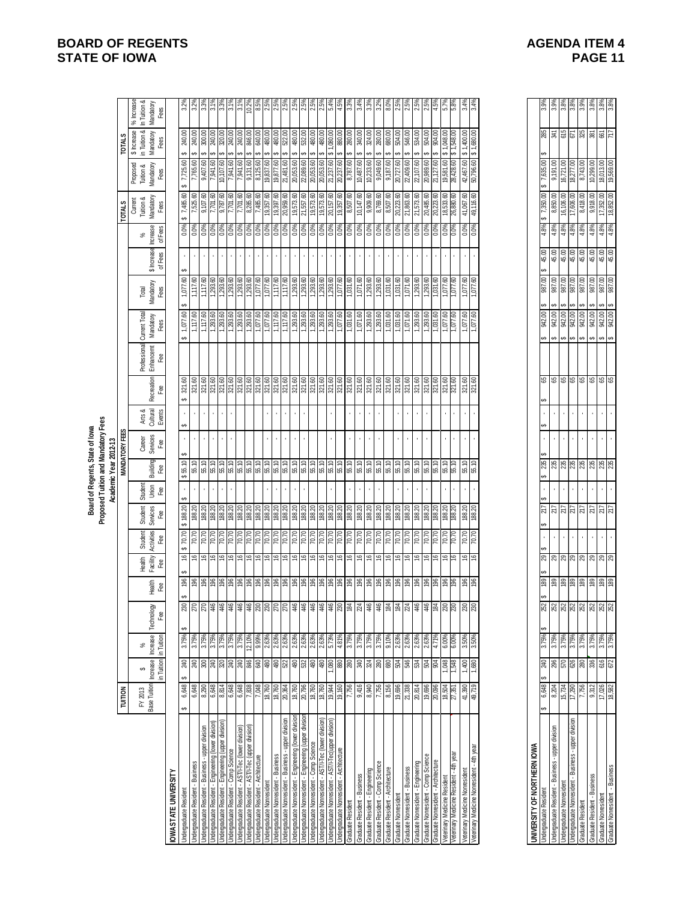|                                                                                                                 |                         |                            |                                |                                                     |                          |                           |                              |                           |                        | Board of Regents, State of lowa                                                                 | Proposed Tuition and Mandatory Fees |                              |                                                                        |                                                                                                     |                                                                                                            |                        |                           |                                                                                                                                 |                                                                                        |                                                                                                                 |                                                      |
|-----------------------------------------------------------------------------------------------------------------|-------------------------|----------------------------|--------------------------------|-----------------------------------------------------|--------------------------|---------------------------|------------------------------|---------------------------|------------------------|-------------------------------------------------------------------------------------------------|-------------------------------------|------------------------------|------------------------------------------------------------------------|-----------------------------------------------------------------------------------------------------|------------------------------------------------------------------------------------------------------------|------------------------|---------------------------|---------------------------------------------------------------------------------------------------------------------------------|----------------------------------------------------------------------------------------|-----------------------------------------------------------------------------------------------------------------|------------------------------------------------------|
|                                                                                                                 |                         |                            |                                |                                                     |                          |                           |                              |                           |                        | Academic Year 2012-13                                                                           |                                     |                              |                                                                        |                                                                                                     |                                                                                                            |                        |                           |                                                                                                                                 |                                                                                        |                                                                                                                 |                                                      |
|                                                                                                                 | <b>TUITION</b>          |                            |                                |                                                     |                          |                           |                              |                           |                        | <b>MANDATORY FEES</b>                                                                           |                                     |                              |                                                                        |                                                                                                     |                                                                                                            |                        |                           | <b>TOTALS</b>                                                                                                                   |                                                                                        | <b>TOTALS</b>                                                                                                   |                                                      |
|                                                                                                                 | Base Tuition<br>FY 2013 | in Tuition<br>hcrease<br>↮ | Increase<br>in Tuition<br>$\%$ | Technology<br>Fee                                   | Heath<br>Fee             | Health<br>Facility<br>Fee | Student<br>Activities<br>Fee | Student<br>Services<br>දී | Student<br>Jnion<br>Fæ | Building<br>Fee                                                                                 | Career<br>Services<br>Fee           | Arts &<br>Cultural<br>Events | Fee<br>Recreation                                                      | Professional Current Total<br>Enhancemt Mandatory<br>Fees                                           | Mandatory<br>Total<br>Fees                                                                                 | \$ Increase<br>of Fees | Increase<br>of Fees<br>వ్ | Tuition &<br>Mandatory<br>Current<br>Fees                                                                                       | Proposed<br>Tuition &<br>Mandatory<br>Fees                                             | in Tuition &<br><b>Mandatory</b><br>\$ Increase                                                                 | $%$ Increase<br>In Tuition &<br>Mandatory<br>Fees    |
| OWA STATE UNIVERSITY                                                                                            |                         |                            |                                |                                                     |                          |                           |                              |                           |                        |                                                                                                 |                                     |                              |                                                                        |                                                                                                     |                                                                                                            |                        |                           |                                                                                                                                 |                                                                                        |                                                                                                                 |                                                      |
| Undergraduate Resident                                                                                          | 6,648<br>↮              | 240<br>↮                   | 3.75%                          |                                                     | ↮                        | 9                         | ↮                            | ↮<br>188.20<br>ക          |                        | \$55.10                                                                                         | ↮                                   | ↮                            | 321.60                                                                 | $\frac{1,077.60}{1,117.60}$<br>↮                                                                    |                                                                                                            |                        |                           | 7,485.60<br>7,525.60                                                                                                            | $\frac{7,725.60}{7,765.60}$                                                            | 240.00                                                                                                          |                                                      |
| Undergraduate Resident - Business                                                                               | 6,648                   |                            | 3.75%                          |                                                     |                          | $\mathfrak{g}$            | $\frac{70.70}{70.70}$        | 188.20                    |                        | 55.10                                                                                           |                                     |                              |                                                                        |                                                                                                     | $\frac{1,077.60}{1,117.60}$                                                                                |                        | $0.0%$<br>$0.0%$          |                                                                                                                                 |                                                                                        |                                                                                                                 | $3.2\%$<br>$3.2\%$                                   |
| Undergraduate Resident - Business - upper division                                                              | 8,290                   |                            | 3.75%                          |                                                     |                          |                           |                              | 188.20                    |                        |                                                                                                 | í.                                  |                              |                                                                        |                                                                                                     | 1,117.60                                                                                                   |                        |                           |                                                                                                                                 | 09'101'6                                                                               | 300.00                                                                                                          |                                                      |
| Undergraduate Resident - Engineering (lower division)<br>Undergraduate Resident - Engineering (upper division)  | 6,648                   | ន្ត $\frac{1}{8}$ ន្ត្រ    | 3.75%<br>3.75%<br>3.75%        | $rac{2}{28}$ $rac{2}{28}$ $rac{4}{36}$ $rac{4}{36}$ |                          | 99999                     | $\frac{56}{12}$              | 188.20                    |                        | $\frac{15}{15}$ $\frac{15}{15}$ $\frac{15}{15}$ $\frac{15}{15}$ $\frac{15}{15}$ $\frac{15}{15}$ |                                     |                              | 321.80<br> <br> 121.90<br> 221.90                                      | $\begin{array}{l} 1,117.60 \\ 1,293.60 \\ 1,293.60 \\ 1,293.60 \\ 1,293.60 \\ 1,293.60 \end{array}$ | $\begin{array}{r} 1,293.60 \\ 1,293.60 \\ \hline 1,293.60 \\ 1,293.60 \\ \end{array}$                      |                        |                           | $\begin{array}{l} 9,107,60 \\ \hline 7,701,60 \\ 9,787,80 \\ \hline 7,701,60 \\ \hline 7,701,60 \\ \hline 8,285,60 \end{array}$ | 10,107.60                                                                              | 240.00                                                                                                          |                                                      |
|                                                                                                                 |                         |                            |                                |                                                     |                          |                           |                              | 188.20                    |                        |                                                                                                 | ï                                   |                              |                                                                        |                                                                                                     |                                                                                                            |                        |                           |                                                                                                                                 |                                                                                        |                                                                                                                 |                                                      |
| Undergraduate Resident - AST/I-Tec (lower division)<br>Undergraduate Resident - Comp Science                    | 6,648<br>6,648          | 240<br>$\frac{1}{20}$      | 3.75%                          | 446<br>446                                          |                          | 91                        | 07.02                        | 188.20                    |                        |                                                                                                 |                                     |                              | 321.60<br>321.60                                                       |                                                                                                     |                                                                                                            |                        |                           |                                                                                                                                 | 09 176'2<br>7,941.60                                                                   | $\frac{240.00}{ }$<br>240.00                                                                                    |                                                      |
| Undergraduate Resident - AST/I-Tec (upper division)                                                             | 7,838                   | S#G                        | 12.10%                         | 446                                                 |                          | g)                        | 70.70                        | 188.20                    |                        | 55.10                                                                                           |                                     |                              | 321.60                                                                 | 1,293.60                                                                                            | 1,293.60                                                                                                   |                        | 0.0%                      |                                                                                                                                 | 9,131.60                                                                               | 846.00                                                                                                          | $\frac{1}{22}$                                       |
| Undergraduate Resident - Architecture                                                                           | 7,048                   | 0#9                        | 9.99%                          |                                                     |                          | 9                         |                              | 188.20                    |                        | 55.10                                                                                           |                                     |                              |                                                                        |                                                                                                     | 1,077.60                                                                                                   |                        | 0.0%                      |                                                                                                                                 | 8,125.60                                                                               |                                                                                                                 | 8.59                                                 |
| Undergraduate Nonresident                                                                                       | 18,760                  | 480                        | 2.63%                          | $\frac{230}{270}$                                   |                          | $\cong$                   | $\frac{20.70}{70.70}$        | 188.20                    |                        | 55.10                                                                                           |                                     |                              | 321.60<br>321.60<br>321.60                                             | $\frac{1,077.60}{1,077.60}$ $\frac{1,177.60}{1,171.60}$ 08.571.50                                   | 1,077.60                                                                                                   |                        | $0.0\%$                   | 7,485.60<br>19,357.60                                                                                                           | 19,837.60                                                                              | 640.00                                                                                                          | 2.5%                                                 |
| Undergraduate Nonresident - Business                                                                            | 18,760<br>20,364        | $\frac{480}{522}$          | $\frac{2.63\%}{2.63\%}$        |                                                     |                          | 9                         | 70.70                        | 188.20                    |                        | 55.10                                                                                           |                                     |                              |                                                                        |                                                                                                     | $\frac{1,117.60}{1,117.60}$                                                                                |                        | $\frac{0.0\%}{0.0\%}$     | $\frac{19,397.60}{20,959.60}$                                                                                                   | $\frac{19,877,60}{21,481,60}$                                                          | 480.00                                                                                                          | $rac{59}{2.59}$                                      |
| Undergraduate Nonresident - Business - upper division                                                           |                         |                            |                                |                                                     |                          | 5                         |                              |                           |                        |                                                                                                 | ï                                   |                              |                                                                        |                                                                                                     |                                                                                                            |                        |                           |                                                                                                                                 |                                                                                        |                                                                                                                 |                                                      |
| Undergraduate Nonresident - Engineering (lower division)                                                        | 18,760                  | $\frac{80}{2}$             | 2.63%                          | $446$                                               |                          | 9                         | 70.70                        | 188.20                    |                        | 55.10                                                                                           |                                     |                              | 321.60                                                                 |                                                                                                     | 1,293.60                                                                                                   |                        |                           |                                                                                                                                 | 09'020'02                                                                              | 480.00                                                                                                          | $2.5^{\circ}$                                        |
| Undergraduate Nonresident - Engineering (upper division                                                         | 20,796                  | 08t                        |                                |                                                     |                          | 9                         | $\frac{0200}{0200}$          | 188.20                    |                        |                                                                                                 |                                     |                              |                                                                        |                                                                                                     |                                                                                                            |                        | $0.0\%$                   | 21,557.60<br>19,573.60                                                                                                          | 22,089.60                                                                              | 532.00                                                                                                          | 2.5%<br>2.5%                                         |
| <b>Jndergraduate Nonresident - Comp Science</b>                                                                 | 18,760                  |                            | $\frac{88}{2.63\%}$            | 448 448                                             |                          | ٩                         |                              | 188.20                    |                        |                                                                                                 |                                     |                              | <mark>ន</mark> ្ទា ន្ទា ន្ទា ន្ទា ន្ទា<br>ឆ្កា ឆ្ក ឆ្ក ឆ្ក ឆ្ក ឆ្ក ឆ្ក | $\frac{1,293.60}{1,293.60}$ $\frac{1,293.60}{1,293.60}$ $\frac{1,293.60}{1,077.60}$                 | $\begin{array}{l} 1,293.60 \\ 1,293.60 \\ 1,293.60 \\ 1,293.60 \\ \hline 1,293.60 \\ 1,077.60 \end{array}$ |                        |                           |                                                                                                                                 | 20,053.60                                                                              | 480.00                                                                                                          |                                                      |
| Undergraduate Nonresident - ASTI/-Tec (lower division)<br>Undergraduate Nonresident - ASTI/-Tec(upper division) | 18,760<br>19,944        | $\frac{1}{2}$              |                                |                                                     |                          | 9                         | 70.70                        | 188.20                    |                        |                                                                                                 |                                     |                              |                                                                        |                                                                                                     |                                                                                                            |                        | $0.0\%$<br>$0.0\%$        | 19,573.60<br>20,157.60                                                                                                          | 20,053.60                                                                              | 480.00                                                                                                          | $2.5\%$<br>5.4%                                      |
|                                                                                                                 |                         |                            |                                |                                                     |                          | 5                         | 70.70                        |                           |                        |                                                                                                 |                                     |                              |                                                                        |                                                                                                     |                                                                                                            |                        |                           |                                                                                                                                 | $\frac{21,237.60}{20,237.60}$                                                          | Ð                                                                                                               |                                                      |
| Undergraduate Nonresident - Architecture                                                                        | 19,160                  |                            | 4.81%                          | 230                                                 |                          | 9                         | 70.70                        | 188.20                    |                        |                                                                                                 |                                     |                              |                                                                        |                                                                                                     |                                                                                                            |                        |                           | 19,357.60                                                                                                                       |                                                                                        | 880.00                                                                                                          |                                                      |
| Graduate Resident                                                                                               | 7,756<br>9,416          | 80<br>340                  | 3.75%                          | 184                                                 |                          | 5                         | 70.70                        | 188.20                    |                        |                                                                                                 |                                     |                              |                                                                        | $\frac{1,031.60}{1,071.60}$                                                                         | 1,031.60                                                                                                   |                        | $0.0\%$                   | 8,507.60<br>10,147.60                                                                                                           | 8,787.60                                                                               | 280.00                                                                                                          | 3.3%                                                 |
| Graduate Resident - Business                                                                                    |                         |                            | 3.75%                          | 224<br>446                                          |                          | 16                        | 07'02                        | 188.20                    |                        |                                                                                                 |                                     |                              |                                                                        |                                                                                                     |                                                                                                            |                        |                           |                                                                                                                                 | 10,487.60                                                                              |                                                                                                                 | 3.4%                                                 |
| Graduate Resident - Engineering                                                                                 | 8,940                   | 324                        | 3.75%                          |                                                     |                          | ؋                         | 70.70                        | 188.20                    |                        | 55.10                                                                                           |                                     |                              | 321.60                                                                 | 1,293.60                                                                                            | 1,293.60                                                                                                   |                        | 0.0%                      | 9,909.60                                                                                                                        | 10,233.60                                                                              | 324.00                                                                                                          | 3.3%                                                 |
| Graduate Resident - Comp Science                                                                                | 7,756                   | 280                        | 3.75%                          | $446$                                               |                          | 5                         | 70.70                        | 188.20                    |                        | 55.10                                                                                           |                                     |                              | 321.60                                                                 | 1,293.60                                                                                            | 1,293.60                                                                                                   |                        | $0.0\%$                   | 8,769.60                                                                                                                        | 9,049.60                                                                               | 280.00                                                                                                          | 3.2%                                                 |
| Graduate Resident - Architecture<br>Graduate Nonresident                                                        | 8,156<br>19,696         | <b>POS</b>                 | 9.10%<br>2.63%                 | <b>181</b>                                          |                          | 9                         | $\frac{0200}{0200}$          | 188.20<br>188.20          |                        | 55.10                                                                                           |                                     |                              | 321.60                                                                 | $\begin{array}{r} 1,031.60 \\ 1,031.60 \\ 1,071.60 \\ 1,293.60 \\ 1,293.60 \\ 1,031.60 \end{array}$ | 1,031.60<br>1,031.60                                                                                       |                        | $0.0\%$                   | 8,507.60                                                                                                                        | 09.187.00<br>20,727.60                                                                 | 680.00<br>504.00                                                                                                | $\frac{8}{2}$ .5%                                    |
| Graduate Nonresident - Business                                                                                 |                         | 546                        |                                |                                                     |                          | ې                         |                              |                           |                        |                                                                                                 |                                     |                              |                                                                        |                                                                                                     | 1,071.60                                                                                                   |                        |                           | 21,863.60                                                                                                                       |                                                                                        |                                                                                                                 |                                                      |
|                                                                                                                 | 21,338                  |                            | 2.63%                          | $\frac{44}{44}$                                     |                          | $\frac{9}{2}$             | 70.70                        | 188.20                    |                        | 55.10                                                                                           |                                     |                              |                                                                        |                                                                                                     |                                                                                                            |                        | 0.0%                      |                                                                                                                                 | 22,409.60                                                                              | 546.00                                                                                                          | $2.5^{\circ}$<br>2.5%                                |
| Graduate Nonresident - Engineering                                                                              | 20,814                  | 534                        | 2.63%                          |                                                     |                          | $\frac{6}{5}$             | 70.70                        | 188.20<br>188.20          |                        |                                                                                                 |                                     |                              |                                                                        |                                                                                                     |                                                                                                            |                        | $0.0\%$<br>$0.0\%$        | 21,573.60                                                                                                                       | 22,107.60                                                                              | 00'189                                                                                                          |                                                      |
| Graduate Nonresident - Comp Science<br>Graduate Nonresident - Architecture                                      | 19,696<br>20,096        | 804                        | 2.63%                          |                                                     |                          | 5<br>9                    | 70.70                        | 188.20                    |                        | $\frac{10}{15}$<br>$\frac{10}{15}$                                                              |                                     |                              | elelelel<br> alalalalal                                                |                                                                                                     | $\frac{1,293.60}{1,293.60}$                                                                                |                        | $0.0\%$                   | 20,485.60                                                                                                                       | 20,989.60<br>21,127.60                                                                 | 504.00<br>904.00<br>∽                                                                                           | 2.5%                                                 |
| Veterinary Medicine Resident                                                                                    |                         |                            | 6.00%                          |                                                     |                          | 9                         | 70.70                        |                           |                        |                                                                                                 |                                     |                              |                                                                        |                                                                                                     | 1,077.60                                                                                                   |                        | 0.0%                      |                                                                                                                                 | 09'189'61                                                                              |                                                                                                                 | $5.7\%$                                              |
| Veterinary Medicine Resident - 4th year                                                                         | 18,504<br>27,351        | 8PS'                       | 6.00%                          | $\frac{8}{28}$                                      |                          | ٩                         |                              | 188.20<br>188.20          |                        | 55.10                                                                                           |                                     |                              | 321.60<br>321.60                                                       | $1,077.60$<br>$7,077.60$                                                                            | 1,077.60                                                                                                   |                        | 0.0%                      | 18,533.60<br>26,880.60                                                                                                          | 28,428.60                                                                              | 1,548.00<br>1,548.00                                                                                            |                                                      |
| Veterinary Medicine Nonresident                                                                                 | 41,390                  |                            | 3.50%                          | $230$                                               |                          |                           |                              | 188.20                    |                        |                                                                                                 |                                     |                              | $\frac{321.60}{321.60}$                                                |                                                                                                     |                                                                                                            |                        | $0.0\%$                   |                                                                                                                                 |                                                                                        |                                                                                                                 | 3.4%                                                 |
| Veterinary Medicine Nonresident - 4th year                                                                      | 49,719                  | $\frac{1,400}{1,880}$      | 3.50%                          |                                                     |                          | 99                        | $\frac{20.70}{70.70}$        |                           |                        | 55.10                                                                                           |                                     |                              |                                                                        | $\frac{1,077.60}{1,077.60}$                                                                         | $\frac{1,077.60}{1,077.60}$                                                                                |                        |                           | 41,067.60<br>49,116.60                                                                                                          | $\begin{array}{c c c c c} 42,467.60 & 1,400.00 \\ 50,796.60 & 1,680.00 \\ \end{array}$ |                                                                                                                 |                                                      |
|                                                                                                                 |                         |                            |                                |                                                     |                          |                           |                              |                           |                        |                                                                                                 |                                     |                              |                                                                        |                                                                                                     |                                                                                                            |                        |                           |                                                                                                                                 |                                                                                        |                                                                                                                 |                                                      |
| UNIVERSITY OF NORTHERN IOWA                                                                                     |                         |                            |                                |                                                     |                          |                           |                              |                           |                        |                                                                                                 |                                     |                              |                                                                        |                                                                                                     |                                                                                                            |                        |                           |                                                                                                                                 |                                                                                        |                                                                                                                 |                                                      |
| Undergraduate Resident                                                                                          | 6,648                   | 240                        | 3.75%                          |                                                     |                          | 6Z                        |                              | 217                       |                        | 235                                                                                             | ↮                                   |                              | 65                                                                     | 00'756                                                                                              | 00'486                                                                                                     | 45.00                  | 4.8%                      | 7,350.00                                                                                                                        | 00 989' L                                                                              |                                                                                                                 |                                                      |
| Undergraduate Resident - Business - upper division                                                              | 8,204                   |                            | 3.75%                          |                                                     |                          | ଅ                         |                              | 217                       |                        |                                                                                                 |                                     |                              |                                                                        | 00'766                                                                                              |                                                                                                            | 45.00                  | 4.8%                      | 8,850.00                                                                                                                        | 00.161,6                                                                               |                                                                                                                 | 3.9%                                                 |
| Undergraduate Nonresident<br>Undergraduate Nonresident - Business - upper division                              | 15,734<br>17,290        | $\frac{296}{570}$          | $\frac{3.75\%}{3.75\%}$        |                                                     |                          |                           |                              | $\frac{25}{25}$           |                        |                                                                                                 |                                     |                              |                                                                        | 942.00<br>942.00                                                                                    | 001286<br>001286<br>↮                                                                                      | $45.00$<br>$45.00$     | $\frac{4.8%}{4.8%}$       | 16,106.00<br>17,606.00                                                                                                          | $\frac{16,721.00}{18,277.00}$                                                          |                                                                                                                 |                                                      |
|                                                                                                                 |                         |                            |                                |                                                     |                          |                           |                              |                           |                        |                                                                                                 |                                     |                              |                                                                        |                                                                                                     | ⊷                                                                                                          |                        |                           |                                                                                                                                 |                                                                                        |                                                                                                                 |                                                      |
| Graduate Resident                                                                                               | 7,756                   |                            | 3.75%                          |                                                     |                          | $R$ $R$ $R$ $R$           |                              |                           |                        |                                                                                                 |                                     |                              |                                                                        |                                                                                                     | 00/286                                                                                                     |                        |                           | 8,418.00                                                                                                                        | 8,743.00                                                                               |                                                                                                                 |                                                      |
| Graduate Resident - Business                                                                                    | 9,312                   | 336                        | 3.75%<br>3.75%<br>3.75%        | <b>a a a a a a a</b>                                | <b>B B B B B B B B B</b> |                           |                              | $217$<br>$217$            |                        | <b>នី នី នី នី នី នី</b>                                                                        |                                     |                              |                                                                        | 942.00                                                                                              | 001 186<br>001 186<br>001 186<br>Θ,                                                                        | $4500$<br>$4500$       | $\frac{4.8\%}{4.8\%}$     | 9,918.00<br>17,352.00<br>18,852.00                                                                                              | $\begin{array}{c} 10,299.00 \\ 18,013.00 \\ \hline 19,569.00 \end{array}$              | $\frac{1}{8}$ $\frac{1}{8}$ $\frac{1}{8}$ $\frac{1}{8}$ $\frac{1}{8}$ $\frac{1}{8}$ $\frac{1}{8}$ $\frac{1}{8}$ | <br> အိုးအို  အို  အို  အို<br> ကြို  ကြို  အို  အို |
| Graduate Nonresident<br>Graduate Nonresident - Business                                                         | 17,026<br>18.582        |                            |                                |                                                     |                          | ន $\overline{8}$          |                              |                           |                        |                                                                                                 |                                     | $\bar{\epsilon}$             |                                                                        |                                                                                                     | ↮                                                                                                          |                        |                           |                                                                                                                                 |                                                                                        |                                                                                                                 |                                                      |
|                                                                                                                 |                         | 672                        |                                |                                                     |                          |                           |                              |                           |                        |                                                                                                 |                                     |                              |                                                                        |                                                                                                     |                                                                                                            |                        |                           |                                                                                                                                 |                                                                                        |                                                                                                                 |                                                      |

| <b>SITY OF NORTHER</b>                    |        |     |     |                      |          |        |   |     |     |   |   |        |           |   |                 |       |            |                      |                |      |      |
|-------------------------------------------|--------|-----|-----|----------------------|----------|--------|---|-----|-----|---|---|--------|-----------|---|-----------------|-------|------------|----------------------|----------------|------|------|
| rate Resident                             | 6.648  | 240 | 75% | s<br>ន្ល             | Ą<br>189 | ę<br>ಔ | Ą | 217 | 235 | Ð | A | ఴ      | 942.00    |   | ຣຸ<br>88        | 45.00 | 59<br>4.8% | 8<br>7,350.          | 8<br>635       | 285  | 3.9% |
| late Resident - Business - upper division | 204    |     | ř,  | ន្ត្រី ន្ត្រ         | 189      | සු     | ٠ | 217 | 235 |   |   | 89     | 942.00    | Ą | ຮຸ<br>587       | 45.00 | 4.8%       | 8,850.00             | S<br>191<br>္တ | 末    | 3.9% |
| Jate Nonresident                          | 5.734  | ត   | 75% |                      | 189      | 29     | , | 217 | 235 | , |   | 65     | 942.00    |   | S<br>88         | 45.00 | 4.8%       | 106.00<br><u>َبُ</u> | S<br>16,721    | 615  | 3.8% |
| lonresident - Business - upper division   | 17.290 | 626 | Ř   | $\tilde{\mathbb{Z}}$ | 189      | 83     | ï | 217 | 235 |   |   | .<br>ಅ | 942.00    |   | S<br><b>SST</b> | 45.00 | 4.8%       | 8<br>17,606.<br>t    | S<br>18,277    | 57   | 3.8% |
| Resident                                  | .756   | ଞ୍ଚ | 75% | 52                   | 89       | 8      | ı | 217 | 235 |   |   | .<br>ಅ | 942.00    |   | S<br>88         | 45.00 | 1.8%       | 8,418.00             | 8<br>8,743.    | 325  | 3.9% |
| Resident - Business                       | 312    |     | 75% | 352<br>251           | 89       | 83     | ï | 217 | 235 |   |   | .<br>ಅ | 942.00    |   | S<br><b>SST</b> | 45.00 | 4.8%       | 9,918.00             | 8<br>299.<br>₽ | జ్లె | 3.8% |
| Nonresident                               | 17,026 |     | 75% |                      | 189      | ಔ      | ٠ | ä   | 235 |   |   | ఴ      | 942.00    |   | S<br>587        | 45.00 | 4.8%       | 17,352.00            | 8<br>18,013.   | 93   | 3.8% |
| onresident - Business                     | 8.582  | ξ   | ř,  | ន្ល                  | 89       | ಔ      | ı | 217 | 235 |   |   | 8      | g<br>942. |   | S<br>88         | 45.00 | 4.8%       | 200<br>18,852.       | S<br>19,569.   | 717  | 3.8% |
|                                           |        |     |     |                      |          |        |   |     |     |   |   |        |           |   |                 |       |            |                      |                |      |      |

# **BOARD OF REGENTS**<br> **BOARD OF REGENTS**<br> **BOARD OF IOWA**<br> **BOARD OF IOWA STATE OF IOWA**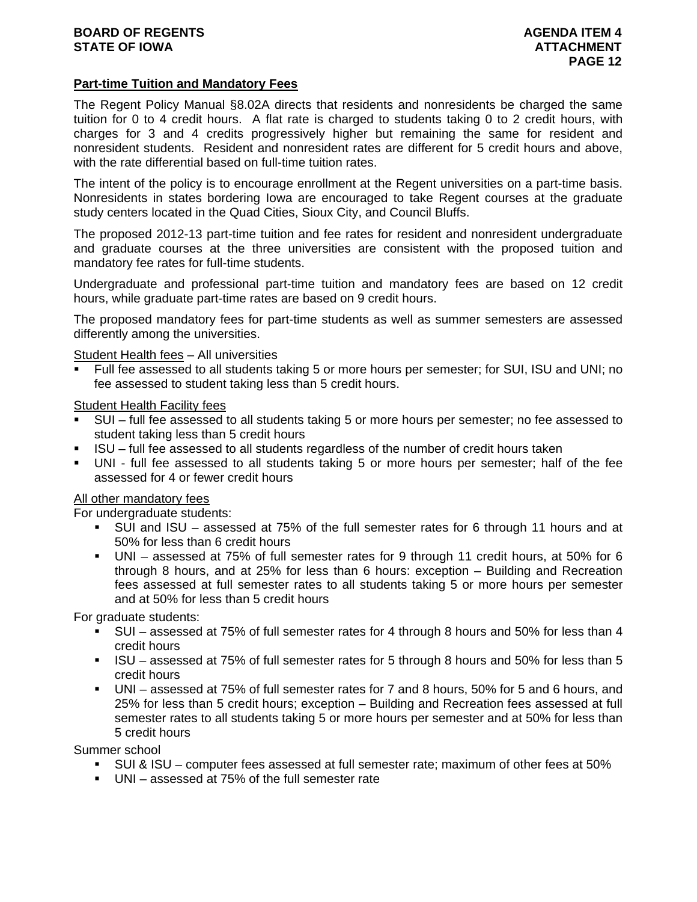# **Part-time Tuition and Mandatory Fees**

The Regent Policy Manual §8.02A directs that residents and nonresidents be charged the same tuition for 0 to 4 credit hours. A flat rate is charged to students taking 0 to 2 credit hours, with charges for 3 and 4 credits progressively higher but remaining the same for resident and nonresident students. Resident and nonresident rates are different for 5 credit hours and above, with the rate differential based on full-time tuition rates.

The intent of the policy is to encourage enrollment at the Regent universities on a part-time basis. Nonresidents in states bordering Iowa are encouraged to take Regent courses at the graduate study centers located in the Quad Cities, Sioux City, and Council Bluffs.

The proposed 2012-13 part-time tuition and fee rates for resident and nonresident undergraduate and graduate courses at the three universities are consistent with the proposed tuition and mandatory fee rates for full-time students.

Undergraduate and professional part-time tuition and mandatory fees are based on 12 credit hours, while graduate part-time rates are based on 9 credit hours.

The proposed mandatory fees for part-time students as well as summer semesters are assessed differently among the universities.

Student Health fees – All universities

 Full fee assessed to all students taking 5 or more hours per semester; for SUI, ISU and UNI; no fee assessed to student taking less than 5 credit hours.

Student Health Facility fees

- SUI full fee assessed to all students taking 5 or more hours per semester; no fee assessed to student taking less than 5 credit hours
- ISU full fee assessed to all students regardless of the number of credit hours taken
- UNI full fee assessed to all students taking 5 or more hours per semester; half of the fee assessed for 4 or fewer credit hours

# All other mandatory fees

For undergraduate students:

- SUI and ISU assessed at 75% of the full semester rates for 6 through 11 hours and at 50% for less than 6 credit hours
- UNI assessed at 75% of full semester rates for 9 through 11 credit hours, at 50% for 6 through 8 hours, and at 25% for less than 6 hours: exception – Building and Recreation fees assessed at full semester rates to all students taking 5 or more hours per semester and at 50% for less than 5 credit hours

For graduate students:

- SUI assessed at 75% of full semester rates for 4 through 8 hours and 50% for less than 4 credit hours
- ISU assessed at 75% of full semester rates for 5 through 8 hours and 50% for less than 5 credit hours
- UNI assessed at 75% of full semester rates for 7 and 8 hours, 50% for 5 and 6 hours, and 25% for less than 5 credit hours; exception – Building and Recreation fees assessed at full semester rates to all students taking 5 or more hours per semester and at 50% for less than 5 credit hours

Summer school

- SUI & ISU computer fees assessed at full semester rate; maximum of other fees at 50%
- UNI assessed at 75% of the full semester rate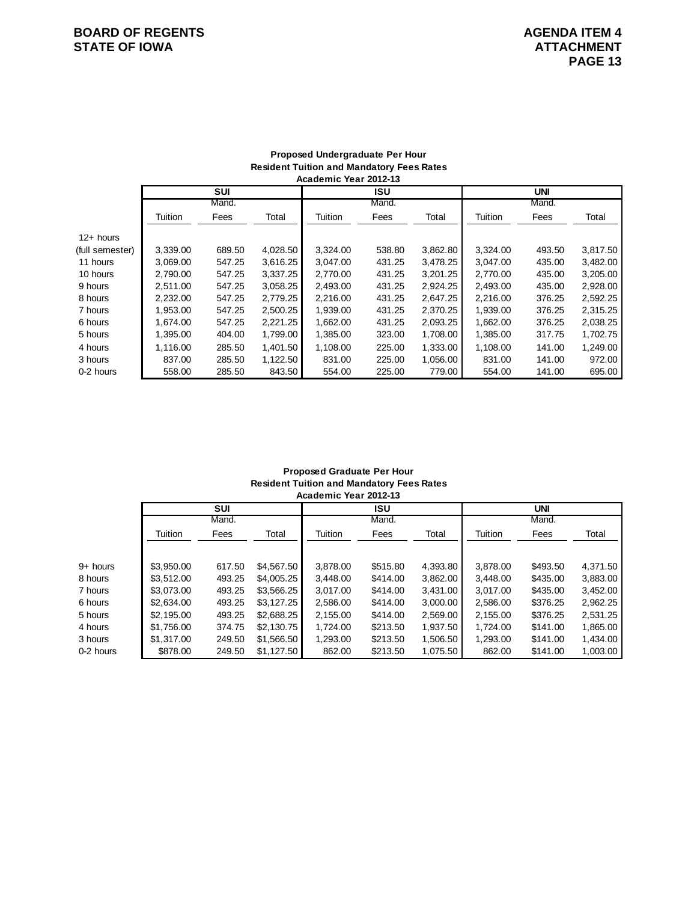# **BOARD OF REGENTS AGENDA ITEM 4**<br> **BOARD OF IOWA**<br> **BOARD OF IOWA STATE OF IOWA**

#### **Proposed Undergraduate Per Hour Resident Tuition and Mandatory Fees Rates Academic Year 2012-13**

|                 |          | <b>SUI</b> |          |          | <b>ISU</b> |          |          | <b>UNI</b> |          |
|-----------------|----------|------------|----------|----------|------------|----------|----------|------------|----------|
|                 |          | Mand.      |          |          | Mand.      |          |          | Mand.      |          |
|                 | Tuition  | Fees       | Total    | Tuition  | Fees       | Total    | Tuition  | Fees       | Total    |
| $12+$ hours     |          |            |          |          |            |          |          |            |          |
| (full semester) | 3.339.00 | 689.50     | 4,028.50 | 3,324.00 | 538.80     | 3,862.80 | 3,324.00 | 493.50     | 3,817.50 |
| 11 hours        | 3.069.00 | 547.25     | 3.616.25 | 3.047.00 | 431.25     | 3.478.25 | 3.047.00 | 435.00     | 3,482.00 |
| 10 hours        | 2,790.00 | 547.25     | 3,337.25 | 2.770.00 | 431.25     | 3,201.25 | 2.770.00 | 435.00     | 3,205.00 |
| 9 hours         | 2.511.00 | 547.25     | 3,058.25 | 2,493.00 | 431.25     | 2,924.25 | 2,493.00 | 435.00     | 2,928.00 |
| 8 hours         | 2.232.00 | 547.25     | 2,779.25 | 2.216.00 | 431.25     | 2.647.25 | 2.216.00 | 376.25     | 2,592.25 |
| 7 hours         | 1.953.00 | 547.25     | 2.500.25 | 1.939.00 | 431.25     | 2,370.25 | 1,939.00 | 376.25     | 2,315.25 |
| 6 hours         | 1.674.00 | 547.25     | 2.221.25 | 1,662.00 | 431.25     | 2.093.25 | 1.662.00 | 376.25     | 2,038.25 |
| 5 hours         | 1,395.00 | 404.00     | 1,799.00 | 1,385.00 | 323.00     | 1,708.00 | 1,385.00 | 317.75     | 1,702.75 |
| 4 hours         | 1,116.00 | 285.50     | 1,401.50 | 1,108.00 | 225.00     | 1,333.00 | 1,108.00 | 141.00     | 1,249.00 |
| 3 hours         | 837.00   | 285.50     | 1,122.50 | 831.00   | 225.00     | 1,056.00 | 831.00   | 141.00     | 972.00   |
| 0-2 hours       | 558.00   | 285.50     | 843.50   | 554.00   | 225.00     | 779.00   | 554.00   | 141.00     | 695.00   |

#### **Proposed Graduate Per Hour Resident Tuition and Mandatory Fees Rates Academic Year 2012-13**

|           |            | <b>SUI</b> |            |          | <b>ISU</b> |          |          | <b>UNI</b> |          |
|-----------|------------|------------|------------|----------|------------|----------|----------|------------|----------|
|           |            | Mand.      |            |          | Mand.      |          |          | Mand.      |          |
|           | Tuition    | Fees       | Total      | Tuition  | Fees       | Total    | Tuition  | Fees       | Total    |
|           |            |            |            |          |            |          |          |            |          |
| 9+ hours  | \$3,950.00 | 617.50     | \$4,567.50 | 3.878.00 | \$515.80   | 4,393.80 | 3,878.00 | \$493.50   | 4,371.50 |
| 8 hours   | \$3.512.00 | 493.25     | \$4,005.25 | 3.448.00 | \$414.00   | 3.862.00 | 3.448.00 | \$435.00   | 3.883.00 |
| 7 hours   | \$3,073,00 | 493.25     | \$3,566.25 | 3,017.00 | \$414.00   | 3,431.00 | 3,017.00 | \$435.00   | 3,452.00 |
| 6 hours   | \$2,634.00 | 493.25     | \$3.127.25 | 2,586.00 | \$414.00   | 3,000.00 | 2,586.00 | \$376.25   | 2,962.25 |
| 5 hours   | \$2,195,00 | 493.25     | \$2,688.25 | 2,155.00 | \$414.00   | 2,569.00 | 2,155.00 | \$376.25   | 2.531.25 |
| 4 hours   | \$1,756.00 | 374.75     | \$2.130.75 | 1.724.00 | \$213.50   | 1.937.50 | 1.724.00 | \$141.00   | 1,865.00 |
| 3 hours   | \$1,317.00 | 249.50     | \$1,566.50 | 1.293.00 | \$213.50   | 1,506.50 | 1.293.00 | \$141.00   | 1,434.00 |
| 0-2 hours | \$878.00   | 249.50     | \$1,127.50 | 862.00   | \$213.50   | 1,075.50 | 862.00   | \$141.00   | 1,003.00 |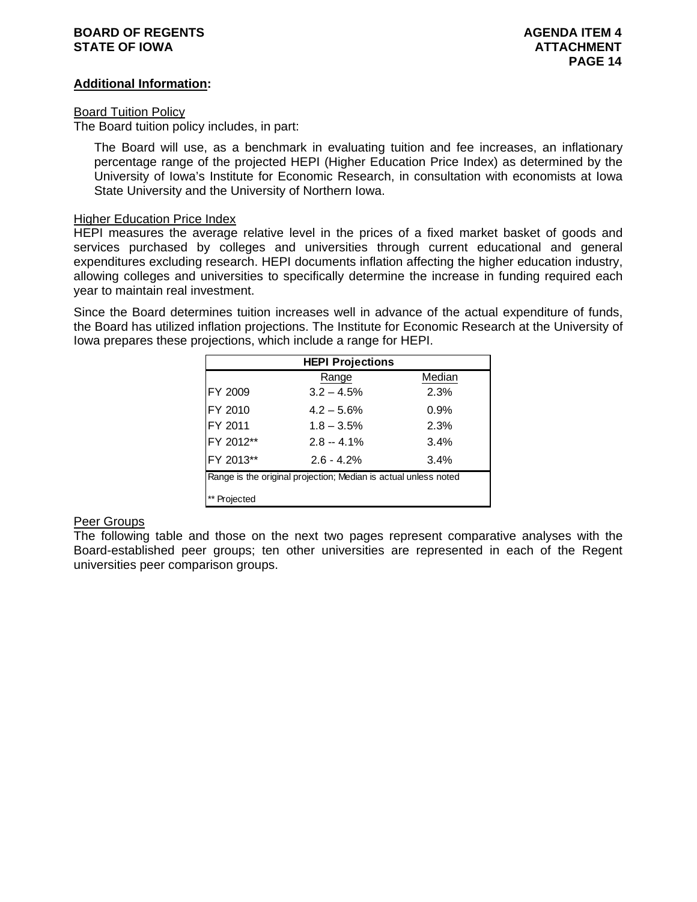# **BOARD OF REGENTS AGENTS** AGENDA ITEM 4 **STATE OF IOWA ATTACHMENT**

# **Additional Information:**

## Board Tuition Policy

The Board tuition policy includes, in part:

The Board will use, as a benchmark in evaluating tuition and fee increases, an inflationary percentage range of the projected HEPI (Higher Education Price Index) as determined by the University of Iowa's Institute for Economic Research, in consultation with economists at Iowa State University and the University of Northern Iowa.

# Higher Education Price Index

HEPI measures the average relative level in the prices of a fixed market basket of goods and services purchased by colleges and universities through current educational and general expenditures excluding research. HEPI documents inflation affecting the higher education industry, allowing colleges and universities to specifically determine the increase in funding required each year to maintain real investment.

Since the Board determines tuition increases well in advance of the actual expenditure of funds, the Board has utilized inflation projections. The Institute for Economic Research at the University of Iowa prepares these projections, which include a range for HEPI.

| <b>HEPI Projections</b>                                         |               |        |  |  |  |
|-----------------------------------------------------------------|---------------|--------|--|--|--|
|                                                                 | Range         | Median |  |  |  |
| FY 2009                                                         | $3.2 - 4.5%$  | 2.3%   |  |  |  |
| FY 2010                                                         | $4.2 - 5.6%$  | 0.9%   |  |  |  |
| FY 2011                                                         | $1.8 - 3.5\%$ | 2.3%   |  |  |  |
| FY 2012**                                                       | $2.8 - 4.1\%$ | 3.4%   |  |  |  |
| FY 2013**                                                       | $2.6 - 4.2%$  | 3.4%   |  |  |  |
| Range is the original projection; Median is actual unless noted |               |        |  |  |  |
| Projected                                                       |               |        |  |  |  |

# Peer Groups

The following table and those on the next two pages represent comparative analyses with the Board-established peer groups; ten other universities are represented in each of the Regent universities peer comparison groups.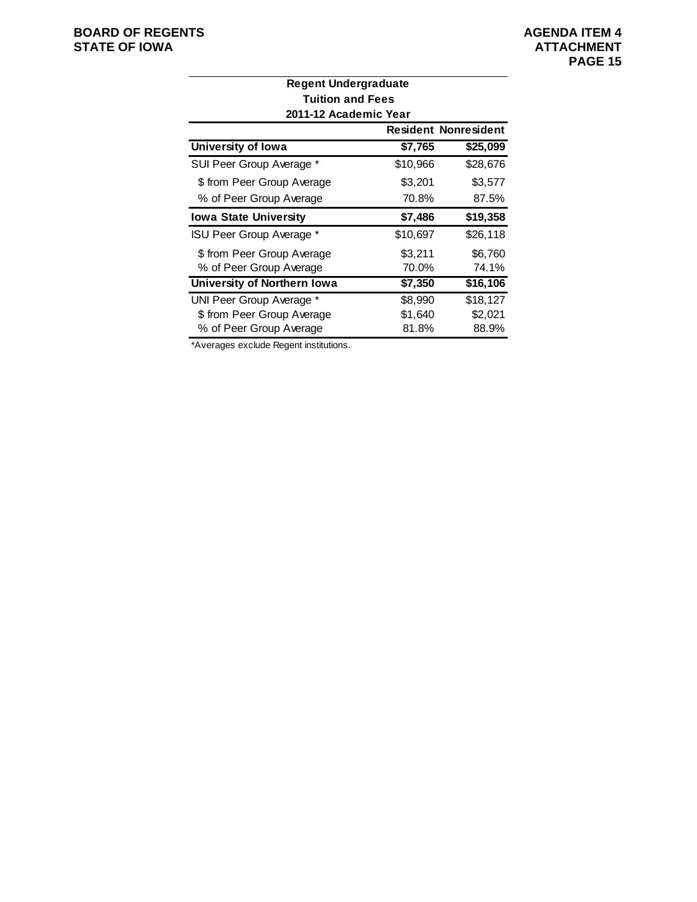| <b>Regent Undergraduate</b>  |          |                             |  |  |  |
|------------------------------|----------|-----------------------------|--|--|--|
| <b>Tuition and Fees</b>      |          |                             |  |  |  |
| 2011-12 Academic Year        |          |                             |  |  |  |
|                              |          | <b>Resident Nonresident</b> |  |  |  |
| University of Iowa           | \$7,765  | \$25,099                    |  |  |  |
| SUI Peer Group Average *     | \$10,966 | \$28,676                    |  |  |  |
| \$ from Peer Group Average   | \$3,201  | \$3,577                     |  |  |  |
| % of Peer Group Average      | 70.8%    | 87.5%                       |  |  |  |
| <b>Iowa State University</b> | \$7,486  | \$19,358                    |  |  |  |
| ISU Peer Group Average *     | \$10,697 | \$26,118                    |  |  |  |
| \$ from Peer Group Average   | \$3,211  | \$6,760                     |  |  |  |
| % of Peer Group Average      | 70.0%    | 74.1%                       |  |  |  |
| University of Northern Iowa  | \$7,350  | \$16,106                    |  |  |  |
| UNI Peer Group Average *     | \$8,990  | \$18,127                    |  |  |  |
| \$ from Peer Group Average   | \$1,640  | \$2,021                     |  |  |  |
| % of Peer Group Average      | 81.8%    | 88.9%                       |  |  |  |

\*Averages exclude Regent institutions.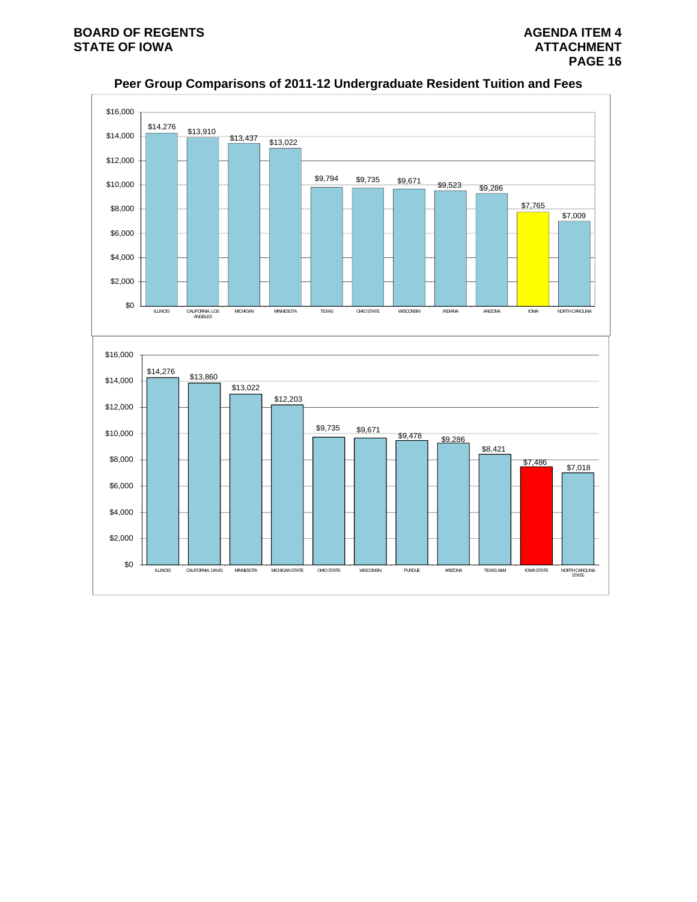

**Peer Group Comparisons of 2011-12 Undergraduate Resident Tuition and Fees**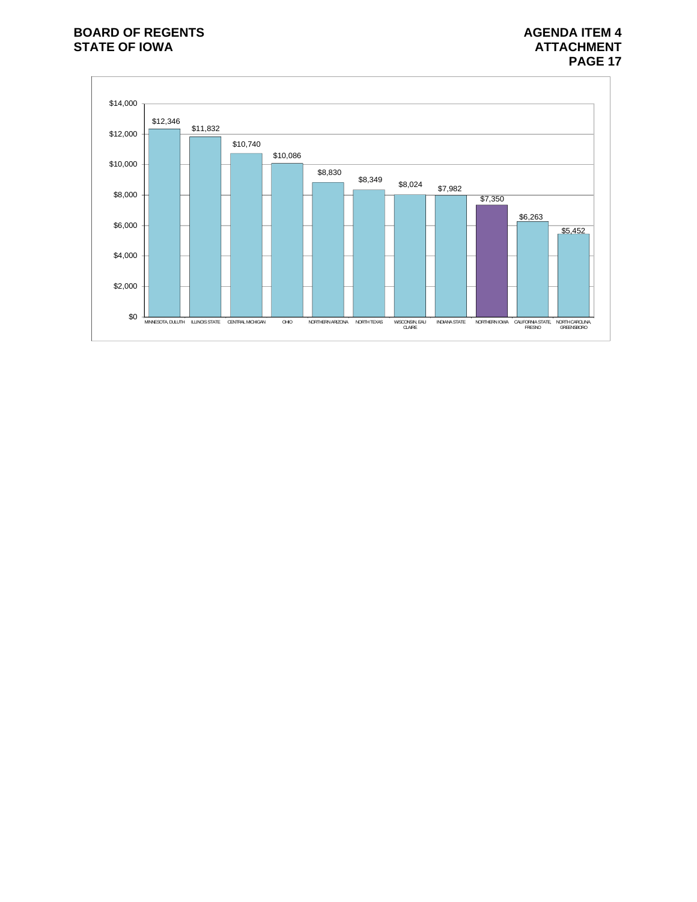# **BOARD OF REGENTS AGENDA ITEM 4**<br>STATE OF IOWA **AGENDA ITEM 4 STATE OF IOWA**

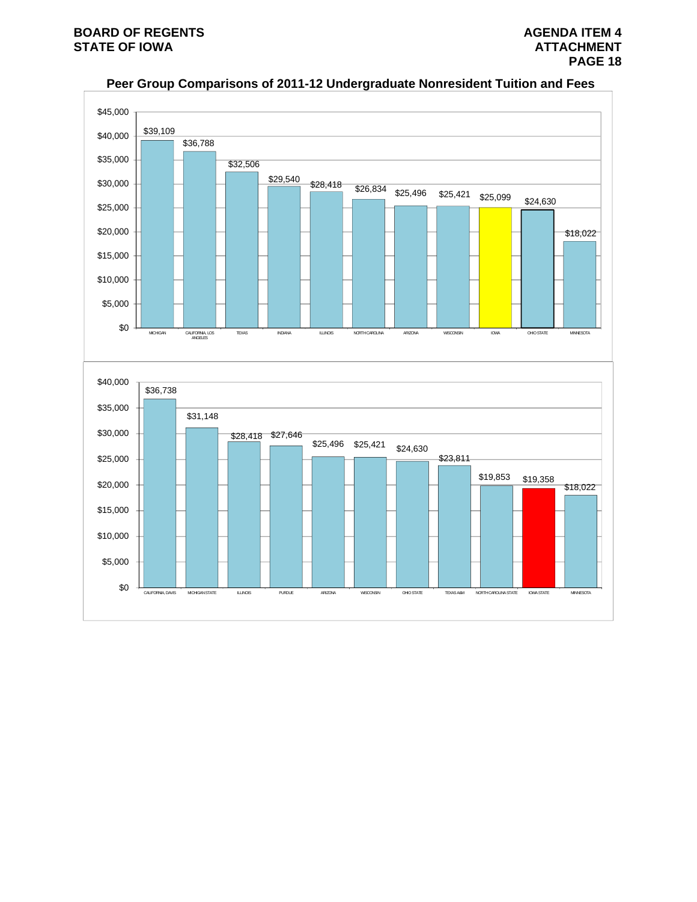

# **Peer Group Comparisons of 2011-12 Undergraduate Nonresident Tuition and Fees**

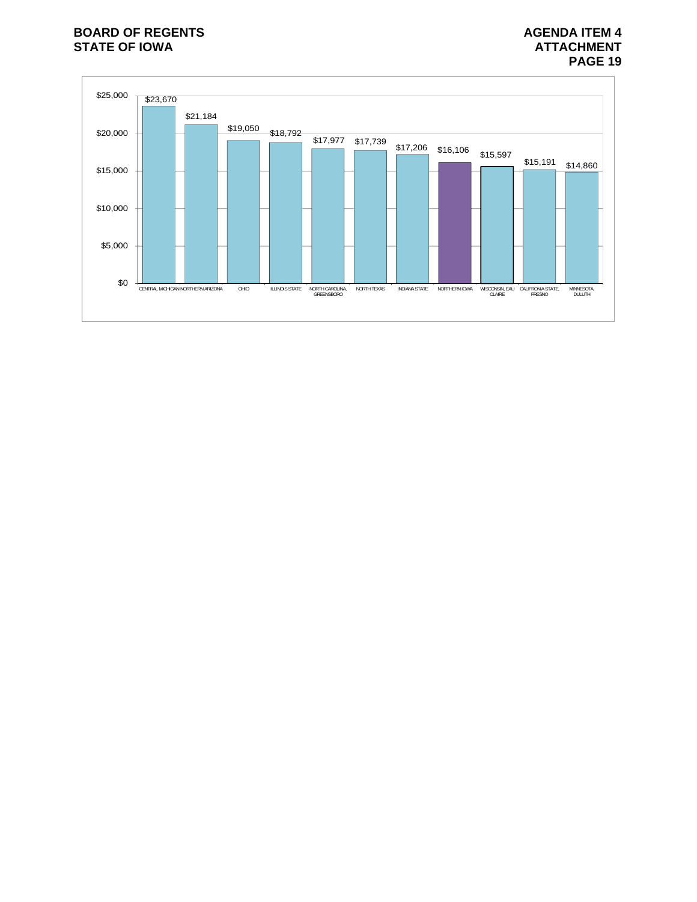# **BOARD OF REGENTS AGENDA ITEM 4**<br>STATE OF IOWA **AGENDA ITEM 4 STATE OF IOWA**

# **PAGE 19**